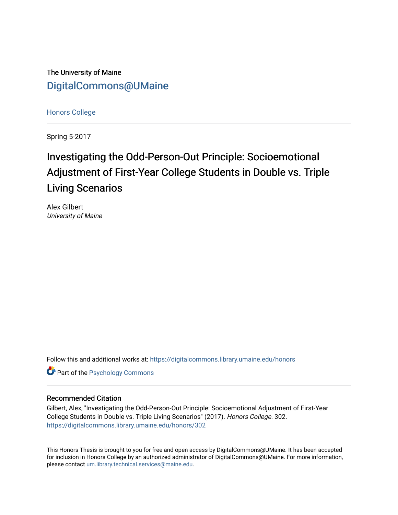The University of Maine [DigitalCommons@UMaine](https://digitalcommons.library.umaine.edu/)

[Honors College](https://digitalcommons.library.umaine.edu/honors)

Spring 5-2017

# Investigating the Odd-Person-Out Principle: Socioemotional Adjustment of First-Year College Students in Double vs. Triple Living Scenarios

Alex Gilbert University of Maine

Follow this and additional works at: [https://digitalcommons.library.umaine.edu/honors](https://digitalcommons.library.umaine.edu/honors?utm_source=digitalcommons.library.umaine.edu%2Fhonors%2F302&utm_medium=PDF&utm_campaign=PDFCoverPages) 

**Part of the Psychology Commons** 

#### Recommended Citation

Gilbert, Alex, "Investigating the Odd-Person-Out Principle: Socioemotional Adjustment of First-Year College Students in Double vs. Triple Living Scenarios" (2017). Honors College. 302. [https://digitalcommons.library.umaine.edu/honors/302](https://digitalcommons.library.umaine.edu/honors/302?utm_source=digitalcommons.library.umaine.edu%2Fhonors%2F302&utm_medium=PDF&utm_campaign=PDFCoverPages) 

This Honors Thesis is brought to you for free and open access by DigitalCommons@UMaine. It has been accepted for inclusion in Honors College by an authorized administrator of DigitalCommons@UMaine. For more information, please contact [um.library.technical.services@maine.edu.](mailto:um.library.technical.services@maine.edu)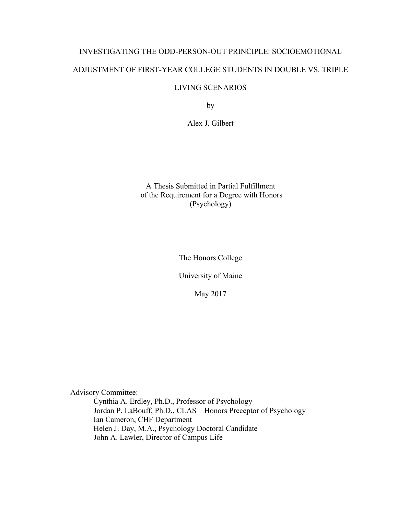# INVESTIGATING THE ODD-PERSON-OUT PRINCIPLE: SOCIOEMOTIONAL ADJUSTMENT OF FIRST-YEAR COLLEGE STUDENTS IN DOUBLE VS. TRIPLE

## LIVING SCENARIOS

by

Alex J. Gilbert

## A Thesis Submitted in Partial Fulfillment of the Requirement for a Degree with Honors (Psychology)

The Honors College

University of Maine

May 2017

Advisory Committee:

Cynthia A. Erdley, Ph.D., Professor of Psychology Jordan P. LaBouff, Ph.D., CLAS – Honors Preceptor of Psychology Ian Cameron, CHF Department Helen J. Day, M.A., Psychology Doctoral Candidate John A. Lawler, Director of Campus Life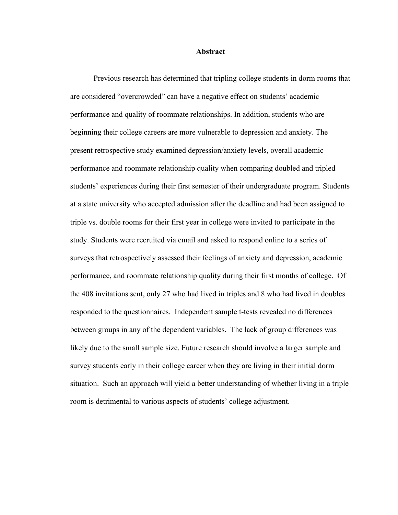#### **Abstract**

Previous research has determined that tripling college students in dorm rooms that are considered "overcrowded" can have a negative effect on students' academic performance and quality of roommate relationships. In addition, students who are beginning their college careers are more vulnerable to depression and anxiety. The present retrospective study examined depression/anxiety levels, overall academic performance and roommate relationship quality when comparing doubled and tripled students' experiences during their first semester of their undergraduate program. Students at a state university who accepted admission after the deadline and had been assigned to triple vs. double rooms for their first year in college were invited to participate in the study. Students were recruited via email and asked to respond online to a series of surveys that retrospectively assessed their feelings of anxiety and depression, academic performance, and roommate relationship quality during their first months of college. Of the 408 invitations sent, only 27 who had lived in triples and 8 who had lived in doubles responded to the questionnaires. Independent sample t-tests revealed no differences between groups in any of the dependent variables. The lack of group differences was likely due to the small sample size. Future research should involve a larger sample and survey students early in their college career when they are living in their initial dorm situation. Such an approach will yield a better understanding of whether living in a triple room is detrimental to various aspects of students' college adjustment.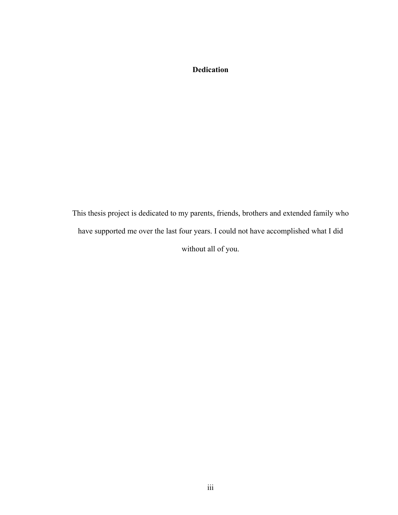## **Dedication**

This thesis project is dedicated to my parents, friends, brothers and extended family who have supported me over the last four years. I could not have accomplished what I did without all of you.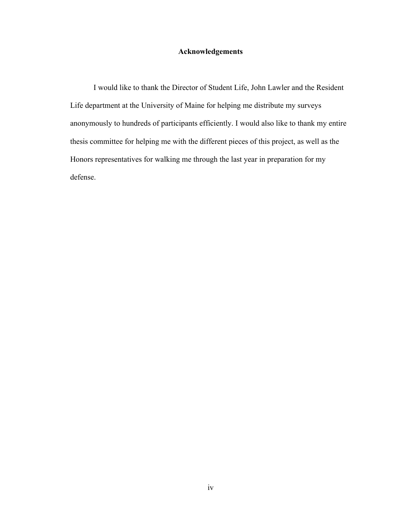## **Acknowledgements**

I would like to thank the Director of Student Life, John Lawler and the Resident Life department at the University of Maine for helping me distribute my surveys anonymously to hundreds of participants efficiently. I would also like to thank my entire thesis committee for helping me with the different pieces of this project, as well as the Honors representatives for walking me through the last year in preparation for my defense.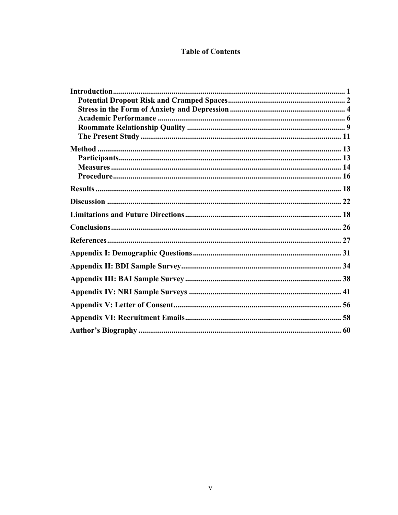## **Table of Contents**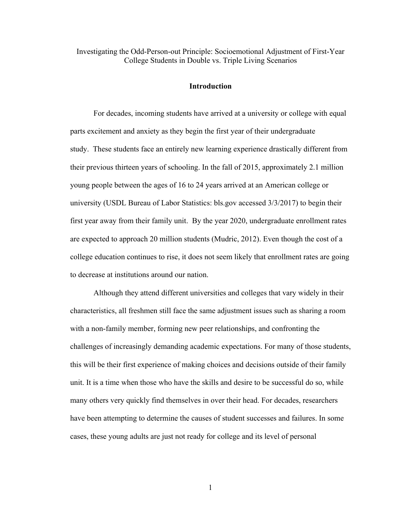Investigating the Odd-Person-out Principle: Socioemotional Adjustment of First-Year College Students in Double vs. Triple Living Scenarios

#### **Introduction**

For decades, incoming students have arrived at a university or college with equal parts excitement and anxiety as they begin the first year of their undergraduate study. These students face an entirely new learning experience drastically different from their previous thirteen years of schooling. In the fall of 2015, approximately 2.1 million young people between the ages of 16 to 24 years arrived at an American college or university (USDL Bureau of Labor Statistics: bls.gov accessed 3/3/2017) to begin their first year away from their family unit. By the year 2020, undergraduate enrollment rates are expected to approach 20 million students (Mudric, 2012). Even though the cost of a college education continues to rise, it does not seem likely that enrollment rates are going to decrease at institutions around our nation.

Although they attend different universities and colleges that vary widely in their characteristics, all freshmen still face the same adjustment issues such as sharing a room with a non-family member, forming new peer relationships, and confronting the challenges of increasingly demanding academic expectations. For many of those students, this will be their first experience of making choices and decisions outside of their family unit. It is a time when those who have the skills and desire to be successful do so, while many others very quickly find themselves in over their head. For decades, researchers have been attempting to determine the causes of student successes and failures. In some cases, these young adults are just not ready for college and its level of personal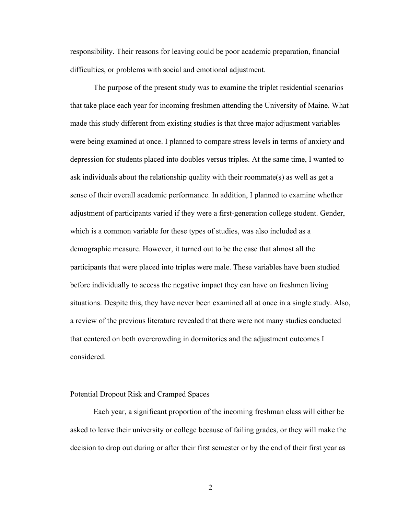responsibility. Their reasons for leaving could be poor academic preparation, financial difficulties, or problems with social and emotional adjustment.

The purpose of the present study was to examine the triplet residential scenarios that take place each year for incoming freshmen attending the University of Maine. What made this study different from existing studies is that three major adjustment variables were being examined at once. I planned to compare stress levels in terms of anxiety and depression for students placed into doubles versus triples. At the same time, I wanted to ask individuals about the relationship quality with their roommate(s) as well as get a sense of their overall academic performance. In addition, I planned to examine whether adjustment of participants varied if they were a first-generation college student. Gender, which is a common variable for these types of studies, was also included as a demographic measure. However, it turned out to be the case that almost all the participants that were placed into triples were male. These variables have been studied before individually to access the negative impact they can have on freshmen living situations. Despite this, they have never been examined all at once in a single study. Also, a review of the previous literature revealed that there were not many studies conducted that centered on both overcrowding in dormitories and the adjustment outcomes I considered.

#### Potential Dropout Risk and Cramped Spaces

Each year, a significant proportion of the incoming freshman class will either be asked to leave their university or college because of failing grades, or they will make the decision to drop out during or after their first semester or by the end of their first year as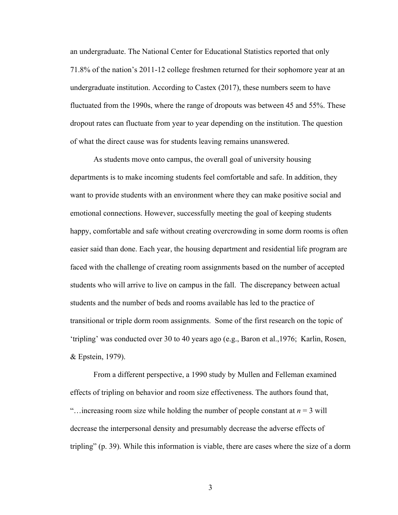an undergraduate. The National Center for Educational Statistics reported that only 71.8% of the nation's 2011-12 college freshmen returned for their sophomore year at an undergraduate institution. According to Castex (2017), these numbers seem to have fluctuated from the 1990s, where the range of dropouts was between 45 and 55%. These dropout rates can fluctuate from year to year depending on the institution. The question of what the direct cause was for students leaving remains unanswered.

As students move onto campus, the overall goal of university housing departments is to make incoming students feel comfortable and safe. In addition, they want to provide students with an environment where they can make positive social and emotional connections. However, successfully meeting the goal of keeping students happy, comfortable and safe without creating overcrowding in some dorm rooms is often easier said than done. Each year, the housing department and residential life program are faced with the challenge of creating room assignments based on the number of accepted students who will arrive to live on campus in the fall. The discrepancy between actual students and the number of beds and rooms available has led to the practice of transitional or triple dorm room assignments. Some of the first research on the topic of 'tripling' was conducted over 30 to 40 years ago (e.g., Baron et al.,1976; Karlin, Rosen, & Epstein, 1979).

From a different perspective, a 1990 study by Mullen and Felleman examined effects of tripling on behavior and room size effectiveness. The authors found that, "... increasing room size while holding the number of people constant at  $n = 3$  will decrease the interpersonal density and presumably decrease the adverse effects of tripling" (p. 39). While this information is viable, there are cases where the size of a dorm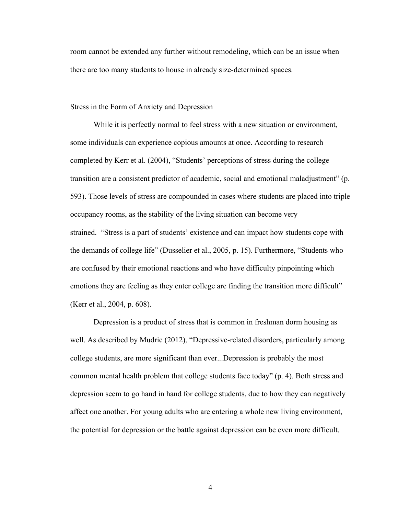room cannot be extended any further without remodeling, which can be an issue when there are too many students to house in already size-determined spaces.

Stress in the Form of Anxiety and Depression

 While it is perfectly normal to feel stress with a new situation or environment, some individuals can experience copious amounts at once. According to research completed by Kerr et al. (2004), "Students' perceptions of stress during the college transition are a consistent predictor of academic, social and emotional maladjustment" (p. 593). Those levels of stress are compounded in cases where students are placed into triple occupancy rooms, as the stability of the living situation can become very strained. "Stress is a part of students' existence and can impact how students cope with the demands of college life" (Dusselier et al., 2005, p. 15). Furthermore, "Students who are confused by their emotional reactions and who have difficulty pinpointing which emotions they are feeling as they enter college are finding the transition more difficult" (Kerr et al., 2004, p. 608).

Depression is a product of stress that is common in freshman dorm housing as well. As described by Mudric (2012), "Depressive-related disorders, particularly among college students, are more significant than ever...Depression is probably the most common mental health problem that college students face today" (p. 4). Both stress and depression seem to go hand in hand for college students, due to how they can negatively affect one another. For young adults who are entering a whole new living environment, the potential for depression or the battle against depression can be even more difficult.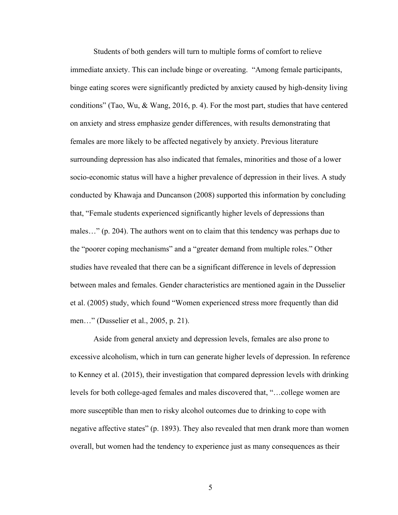Students of both genders will turn to multiple forms of comfort to relieve immediate anxiety. This can include binge or overeating. "Among female participants, binge eating scores were significantly predicted by anxiety caused by high-density living conditions" (Tao, Wu, & Wang, 2016, p. 4). For the most part, studies that have centered on anxiety and stress emphasize gender differences, with results demonstrating that females are more likely to be affected negatively by anxiety. Previous literature surrounding depression has also indicated that females, minorities and those of a lower socio-economic status will have a higher prevalence of depression in their lives. A study conducted by Khawaja and Duncanson (2008) supported this information by concluding that, "Female students experienced significantly higher levels of depressions than males…" (p. 204). The authors went on to claim that this tendency was perhaps due to the "poorer coping mechanisms" and a "greater demand from multiple roles." Other studies have revealed that there can be a significant difference in levels of depression between males and females. Gender characteristics are mentioned again in the Dusselier et al. (2005) study, which found "Women experienced stress more frequently than did men…" (Dusselier et al., 2005, p. 21).

Aside from general anxiety and depression levels, females are also prone to excessive alcoholism, which in turn can generate higher levels of depression. In reference to Kenney et al. (2015), their investigation that compared depression levels with drinking levels for both college-aged females and males discovered that, "…college women are more susceptible than men to risky alcohol outcomes due to drinking to cope with negative affective states" (p. 1893). They also revealed that men drank more than women overall, but women had the tendency to experience just as many consequences as their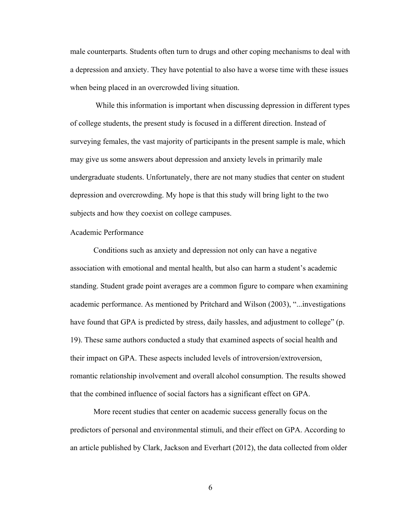male counterparts. Students often turn to drugs and other coping mechanisms to deal with a depression and anxiety. They have potential to also have a worse time with these issues when being placed in an overcrowded living situation.

While this information is important when discussing depression in different types of college students, the present study is focused in a different direction. Instead of surveying females, the vast majority of participants in the present sample is male, which may give us some answers about depression and anxiety levels in primarily male undergraduate students. Unfortunately, there are not many studies that center on student depression and overcrowding. My hope is that this study will bring light to the two subjects and how they coexist on college campuses.

#### Academic Performance

Conditions such as anxiety and depression not only can have a negative association with emotional and mental health, but also can harm a student's academic standing. Student grade point averages are a common figure to compare when examining academic performance. As mentioned by Pritchard and Wilson (2003), "...investigations have found that GPA is predicted by stress, daily hassles, and adjustment to college" (p. 19). These same authors conducted a study that examined aspects of social health and their impact on GPA. These aspects included levels of introversion/extroversion, romantic relationship involvement and overall alcohol consumption. The results showed that the combined influence of social factors has a significant effect on GPA.

More recent studies that center on academic success generally focus on the predictors of personal and environmental stimuli, and their effect on GPA. According to an article published by Clark, Jackson and Everhart (2012), the data collected from older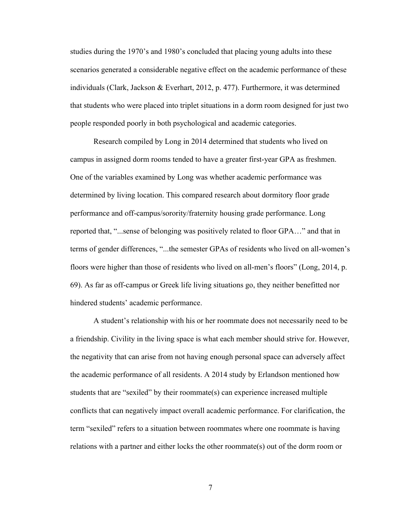studies during the 1970's and 1980's concluded that placing young adults into these scenarios generated a considerable negative effect on the academic performance of these individuals (Clark, Jackson & Everhart, 2012, p. 477). Furthermore, it was determined that students who were placed into triplet situations in a dorm room designed for just two people responded poorly in both psychological and academic categories.

Research compiled by Long in 2014 determined that students who lived on campus in assigned dorm rooms tended to have a greater first-year GPA as freshmen. One of the variables examined by Long was whether academic performance was determined by living location. This compared research about dormitory floor grade performance and off-campus/sorority/fraternity housing grade performance. Long reported that, "...sense of belonging was positively related to floor GPA…" and that in terms of gender differences, "...the semester GPAs of residents who lived on all-women's floors were higher than those of residents who lived on all-men's floors" (Long, 2014, p. 69). As far as off-campus or Greek life living situations go, they neither benefitted nor hindered students' academic performance.

A student's relationship with his or her roommate does not necessarily need to be a friendship. Civility in the living space is what each member should strive for. However, the negativity that can arise from not having enough personal space can adversely affect the academic performance of all residents. A 2014 study by Erlandson mentioned how students that are "sexiled" by their roommate(s) can experience increased multiple conflicts that can negatively impact overall academic performance. For clarification, the term "sexiled" refers to a situation between roommates where one roommate is having relations with a partner and either locks the other roommate(s) out of the dorm room or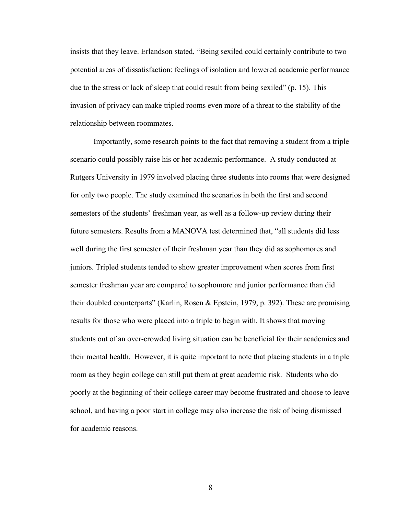insists that they leave. Erlandson stated, "Being sexiled could certainly contribute to two potential areas of dissatisfaction: feelings of isolation and lowered academic performance due to the stress or lack of sleep that could result from being sexiled" (p. 15). This invasion of privacy can make tripled rooms even more of a threat to the stability of the relationship between roommates.

Importantly, some research points to the fact that removing a student from a triple scenario could possibly raise his or her academic performance. A study conducted at Rutgers University in 1979 involved placing three students into rooms that were designed for only two people. The study examined the scenarios in both the first and second semesters of the students' freshman year, as well as a follow-up review during their future semesters. Results from a MANOVA test determined that, "all students did less well during the first semester of their freshman year than they did as sophomores and juniors. Tripled students tended to show greater improvement when scores from first semester freshman year are compared to sophomore and junior performance than did their doubled counterparts" (Karlin, Rosen & Epstein, 1979, p. 392). These are promising results for those who were placed into a triple to begin with. It shows that moving students out of an over-crowded living situation can be beneficial for their academics and their mental health. However, it is quite important to note that placing students in a triple room as they begin college can still put them at great academic risk. Students who do poorly at the beginning of their college career may become frustrated and choose to leave school, and having a poor start in college may also increase the risk of being dismissed for academic reasons.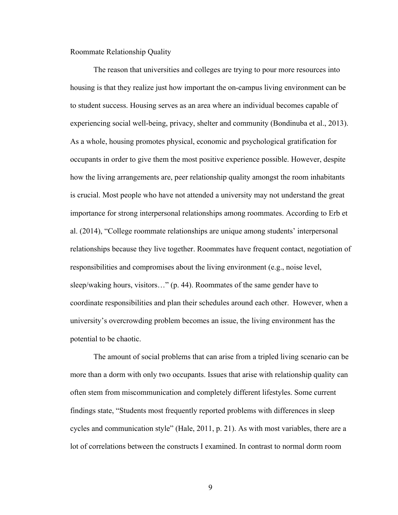Roommate Relationship Quality

The reason that universities and colleges are trying to pour more resources into housing is that they realize just how important the on-campus living environment can be to student success. Housing serves as an area where an individual becomes capable of experiencing social well-being, privacy, shelter and community (Bondinuba et al., 2013). As a whole, housing promotes physical, economic and psychological gratification for occupants in order to give them the most positive experience possible. However, despite how the living arrangements are, peer relationship quality amongst the room inhabitants is crucial. Most people who have not attended a university may not understand the great importance for strong interpersonal relationships among roommates. According to Erb et al. (2014), "College roommate relationships are unique among students' interpersonal relationships because they live together. Roommates have frequent contact, negotiation of responsibilities and compromises about the living environment (e.g., noise level, sleep/waking hours, visitors…" (p. 44). Roommates of the same gender have to coordinate responsibilities and plan their schedules around each other. However, when a university's overcrowding problem becomes an issue, the living environment has the potential to be chaotic.

The amount of social problems that can arise from a tripled living scenario can be more than a dorm with only two occupants. Issues that arise with relationship quality can often stem from miscommunication and completely different lifestyles. Some current findings state, "Students most frequently reported problems with differences in sleep cycles and communication style" (Hale, 2011, p. 21). As with most variables, there are a lot of correlations between the constructs I examined. In contrast to normal dorm room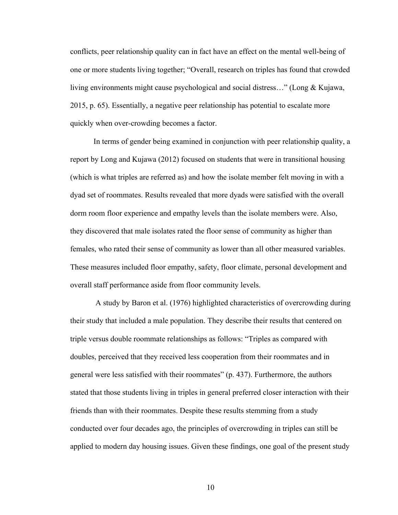conflicts, peer relationship quality can in fact have an effect on the mental well-being of one or more students living together; "Overall, research on triples has found that crowded living environments might cause psychological and social distress…" (Long & Kujawa, 2015, p. 65). Essentially, a negative peer relationship has potential to escalate more quickly when over-crowding becomes a factor.

In terms of gender being examined in conjunction with peer relationship quality, a report by Long and Kujawa (2012) focused on students that were in transitional housing (which is what triples are referred as) and how the isolate member felt moving in with a dyad set of roommates. Results revealed that more dyads were satisfied with the overall dorm room floor experience and empathy levels than the isolate members were. Also, they discovered that male isolates rated the floor sense of community as higher than females, who rated their sense of community as lower than all other measured variables. These measures included floor empathy, safety, floor climate, personal development and overall staff performance aside from floor community levels.

A study by Baron et al. (1976) highlighted characteristics of overcrowding during their study that included a male population. They describe their results that centered on triple versus double roommate relationships as follows: "Triples as compared with doubles, perceived that they received less cooperation from their roommates and in general were less satisfied with their roommates" (p. 437). Furthermore, the authors stated that those students living in triples in general preferred closer interaction with their friends than with their roommates. Despite these results stemming from a study conducted over four decades ago, the principles of overcrowding in triples can still be applied to modern day housing issues. Given these findings, one goal of the present study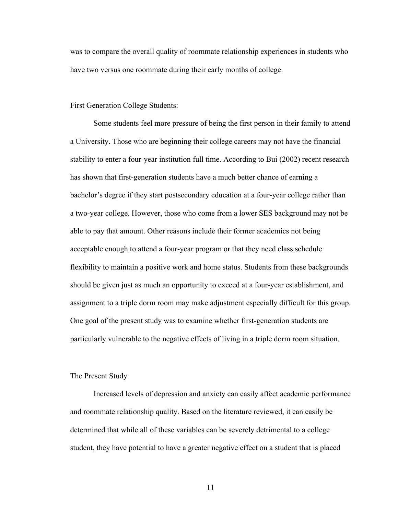was to compare the overall quality of roommate relationship experiences in students who have two versus one roommate during their early months of college.

#### First Generation College Students:

Some students feel more pressure of being the first person in their family to attend a University. Those who are beginning their college careers may not have the financial stability to enter a four-year institution full time. According to Bui (2002) recent research has shown that first-generation students have a much better chance of earning a bachelor's degree if they start postsecondary education at a four-year college rather than a two-year college. However, those who come from a lower SES background may not be able to pay that amount. Other reasons include their former academics not being acceptable enough to attend a four-year program or that they need class schedule flexibility to maintain a positive work and home status. Students from these backgrounds should be given just as much an opportunity to exceed at a four-year establishment, and assignment to a triple dorm room may make adjustment especially difficult for this group. One goal of the present study was to examine whether first-generation students are particularly vulnerable to the negative effects of living in a triple dorm room situation.

#### The Present Study

Increased levels of depression and anxiety can easily affect academic performance and roommate relationship quality. Based on the literature reviewed, it can easily be determined that while all of these variables can be severely detrimental to a college student, they have potential to have a greater negative effect on a student that is placed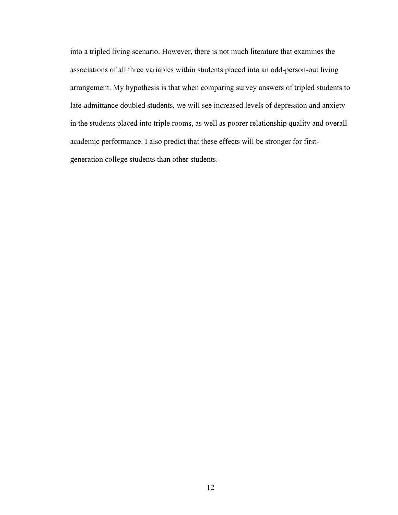into a tripled living scenario. However, there is not much literature that examines the associations of all three variables within students placed into an odd-person-out living arrangement. My hypothesis is that when comparing survey answers of tripled students to late-admittance doubled students, we will see increased levels of depression and anxiety in the students placed into triple rooms, as well as poorer relationship quality and overall academic performance. I also predict that these effects will be stronger for firstgeneration college students than other students.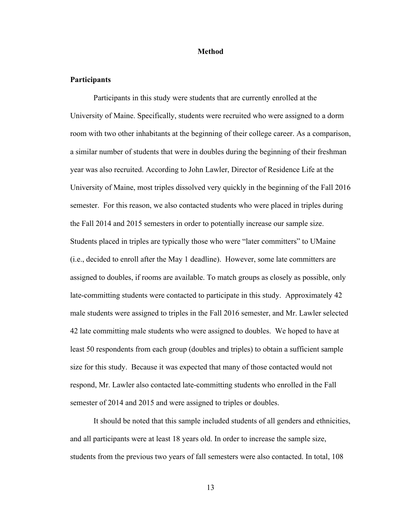#### **Method**

#### **Participants**

Participants in this study were students that are currently enrolled at the University of Maine. Specifically, students were recruited who were assigned to a dorm room with two other inhabitants at the beginning of their college career. As a comparison, a similar number of students that were in doubles during the beginning of their freshman year was also recruited. According to John Lawler, Director of Residence Life at the University of Maine, most triples dissolved very quickly in the beginning of the Fall 2016 semester. For this reason, we also contacted students who were placed in triples during the Fall 2014 and 2015 semesters in order to potentially increase our sample size. Students placed in triples are typically those who were "later committers" to UMaine (i.e., decided to enroll after the May 1 deadline). However, some late committers are assigned to doubles, if rooms are available. To match groups as closely as possible, only late-committing students were contacted to participate in this study. Approximately 42 male students were assigned to triples in the Fall 2016 semester, and Mr. Lawler selected 42 late committing male students who were assigned to doubles. We hoped to have at least 50 respondents from each group (doubles and triples) to obtain a sufficient sample size for this study. Because it was expected that many of those contacted would not respond, Mr. Lawler also contacted late-committing students who enrolled in the Fall semester of 2014 and 2015 and were assigned to triples or doubles.

It should be noted that this sample included students of all genders and ethnicities, and all participants were at least 18 years old. In order to increase the sample size, students from the previous two years of fall semesters were also contacted. In total, 108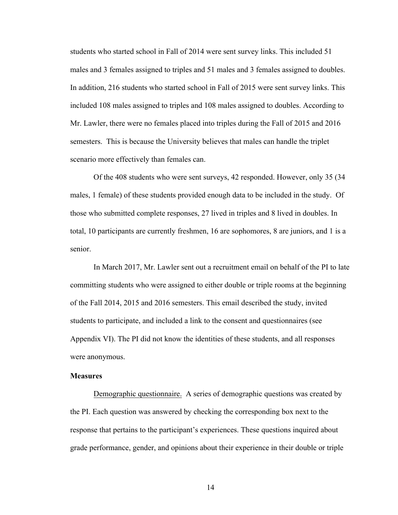students who started school in Fall of 2014 were sent survey links. This included 51 males and 3 females assigned to triples and 51 males and 3 females assigned to doubles. In addition, 216 students who started school in Fall of 2015 were sent survey links. This included 108 males assigned to triples and 108 males assigned to doubles. According to Mr. Lawler, there were no females placed into triples during the Fall of 2015 and 2016 semesters. This is because the University believes that males can handle the triplet scenario more effectively than females can.

Of the 408 students who were sent surveys, 42 responded. However, only 35 (34 males, 1 female) of these students provided enough data to be included in the study. Of those who submitted complete responses, 27 lived in triples and 8 lived in doubles. In total, 10 participants are currently freshmen, 16 are sophomores, 8 are juniors, and 1 is a senior.

In March 2017, Mr. Lawler sent out a recruitment email on behalf of the PI to late committing students who were assigned to either double or triple rooms at the beginning of the Fall 2014, 2015 and 2016 semesters. This email described the study, invited students to participate, and included a link to the consent and questionnaires (see Appendix VI). The PI did not know the identities of these students, and all responses were anonymous.

#### **Measures**

Demographic questionnaire. A series of demographic questions was created by the PI. Each question was answered by checking the corresponding box next to the response that pertains to the participant's experiences. These questions inquired about grade performance, gender, and opinions about their experience in their double or triple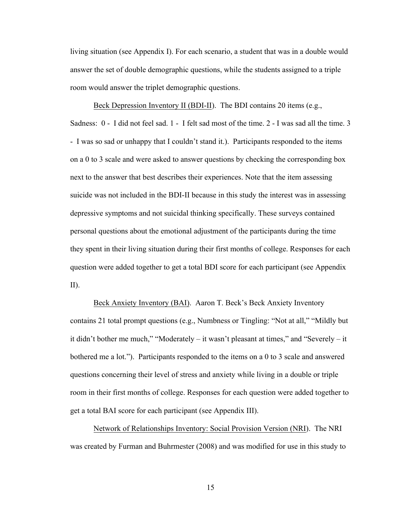living situation (see Appendix I). For each scenario, a student that was in a double would answer the set of double demographic questions, while the students assigned to a triple room would answer the triplet demographic questions.

Beck Depression Inventory II (BDI-II). The BDI contains 20 items (e.g., Sadness: 0 - I did not feel sad. 1 - I felt sad most of the time. 2 - I was sad all the time. 3 - I was so sad or unhappy that I couldn't stand it.). Participants responded to the items on a 0 to 3 scale and were asked to answer questions by checking the corresponding box next to the answer that best describes their experiences. Note that the item assessing suicide was not included in the BDI-II because in this study the interest was in assessing depressive symptoms and not suicidal thinking specifically. These surveys contained personal questions about the emotional adjustment of the participants during the time they spent in their living situation during their first months of college. Responses for each question were added together to get a total BDI score for each participant (see Appendix II).

Beck Anxiety Inventory (BAI). Aaron T. Beck's Beck Anxiety Inventory contains 21 total prompt questions (e.g., Numbness or Tingling: "Not at all," "Mildly but it didn't bother me much," "Moderately – it wasn't pleasant at times," and "Severely – it bothered me a lot."). Participants responded to the items on a 0 to 3 scale and answered questions concerning their level of stress and anxiety while living in a double or triple room in their first months of college. Responses for each question were added together to get a total BAI score for each participant (see Appendix III).

Network of Relationships Inventory: Social Provision Version (NRI). The NRI was created by Furman and Buhrmester (2008) and was modified for use in this study to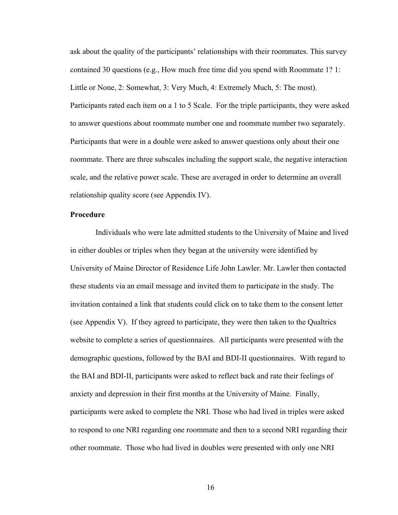ask about the quality of the participants' relationships with their roommates. This survey contained 30 questions (e.g., How much free time did you spend with Roommate 1? 1: Little or None, 2: Somewhat, 3: Very Much, 4: Extremely Much, 5: The most). Participants rated each item on a 1 to 5 Scale. For the triple participants, they were asked to answer questions about roommate number one and roommate number two separately. Participants that were in a double were asked to answer questions only about their one roommate. There are three subscales including the support scale, the negative interaction scale, and the relative power scale. These are averaged in order to determine an overall relationship quality score (see Appendix IV).

#### **Procedure**

Individuals who were late admitted students to the University of Maine and lived in either doubles or triples when they began at the university were identified by University of Maine Director of Residence Life John Lawler. Mr. Lawler then contacted these students via an email message and invited them to participate in the study. The invitation contained a link that students could click on to take them to the consent letter (see Appendix V). If they agreed to participate, they were then taken to the Qualtrics website to complete a series of questionnaires. All participants were presented with the demographic questions, followed by the BAI and BDI-II questionnaires. With regard to the BAI and BDI-II, participants were asked to reflect back and rate their feelings of anxiety and depression in their first months at the University of Maine. Finally, participants were asked to complete the NRI. Those who had lived in triples were asked to respond to one NRI regarding one roommate and then to a second NRI regarding their other roommate. Those who had lived in doubles were presented with only one NRI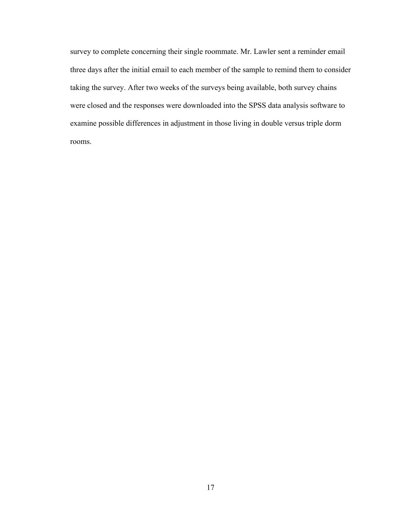survey to complete concerning their single roommate. Mr. Lawler sent a reminder email three days after the initial email to each member of the sample to remind them to consider taking the survey. After two weeks of the surveys being available, both survey chains were closed and the responses were downloaded into the SPSS data analysis software to examine possible differences in adjustment in those living in double versus triple dorm rooms.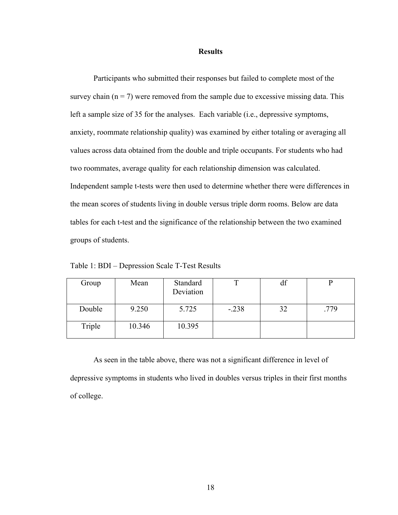#### **Results**

Participants who submitted their responses but failed to complete most of the survey chain  $(n = 7)$  were removed from the sample due to excessive missing data. This left a sample size of 35 for the analyses. Each variable (i.e., depressive symptoms, anxiety, roommate relationship quality) was examined by either totaling or averaging all values across data obtained from the double and triple occupants. For students who had two roommates, average quality for each relationship dimension was calculated. Independent sample t-tests were then used to determine whether there were differences in the mean scores of students living in double versus triple dorm rooms. Below are data tables for each t-test and the significance of the relationship between the two examined groups of students.

Table 1: BDI – Depression Scale T-Test Results

| Group  | Mean   | Standard<br>Deviation |         | df |      |
|--------|--------|-----------------------|---------|----|------|
| Double | 9.250  | 5.725                 | $-.238$ | 32 | .779 |
| Triple | 10.346 | 10.395                |         |    |      |

As seen in the table above, there was not a significant difference in level of depressive symptoms in students who lived in doubles versus triples in their first months of college.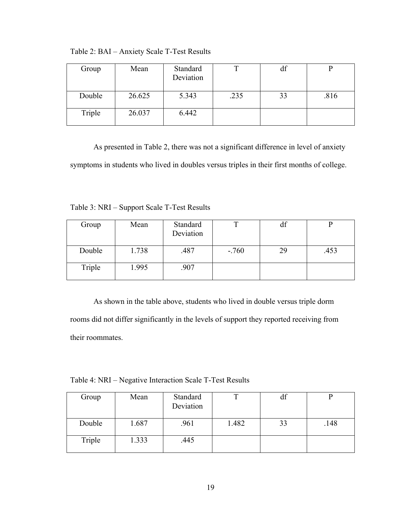| Group  | Mean   | Standard<br>Deviation |      | df |      |
|--------|--------|-----------------------|------|----|------|
| Double | 26.625 | 5.343                 | .235 | 33 | .816 |
| Triple | 26.037 | 6.442                 |      |    |      |

Table 2: BAI – Anxiety Scale T-Test Results

As presented in Table 2, there was not a significant difference in level of anxiety symptoms in students who lived in doubles versus triples in their first months of college.

Table 3: NRI – Support Scale T-Test Results

| Group  | Mean  | Standard<br>Deviation |        | df |      |
|--------|-------|-----------------------|--------|----|------|
| Double | 1.738 | .487                  | $-760$ | 29 | .453 |
| Triple | 1.995 | .907                  |        |    |      |

As shown in the table above, students who lived in double versus triple dorm rooms did not differ significantly in the levels of support they reported receiving from their roommates.

Table 4: NRI – Negative Interaction Scale T-Test Results

| Group  | Mean  | Standard  | ᅲ     | df |      |
|--------|-------|-----------|-------|----|------|
|        |       | Deviation |       |    |      |
| Double | 1.687 | .961      | 1.482 | 33 | .148 |
| Triple | 1.333 | .445      |       |    |      |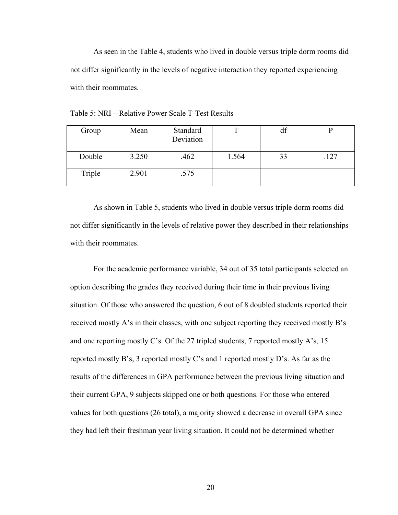As seen in the Table 4, students who lived in double versus triple dorm rooms did not differ significantly in the levels of negative interaction they reported experiencing with their roommates.

| Group  | Mean  | Standard<br>Deviation |       | df |      |
|--------|-------|-----------------------|-------|----|------|
| Double | 3.250 | .462                  | 1.564 | 33 | .127 |
| Triple | 2.901 | .575                  |       |    |      |

Table 5: NRI – Relative Power Scale T-Test Results

As shown in Table 5, students who lived in double versus triple dorm rooms did not differ significantly in the levels of relative power they described in their relationships with their roommates.

For the academic performance variable, 34 out of 35 total participants selected an option describing the grades they received during their time in their previous living situation. Of those who answered the question, 6 out of 8 doubled students reported their received mostly A's in their classes, with one subject reporting they received mostly B's and one reporting mostly C's. Of the 27 tripled students, 7 reported mostly A's, 15 reported mostly B's, 3 reported mostly C's and 1 reported mostly D's. As far as the results of the differences in GPA performance between the previous living situation and their current GPA, 9 subjects skipped one or both questions. For those who entered values for both questions (26 total), a majority showed a decrease in overall GPA since they had left their freshman year living situation. It could not be determined whether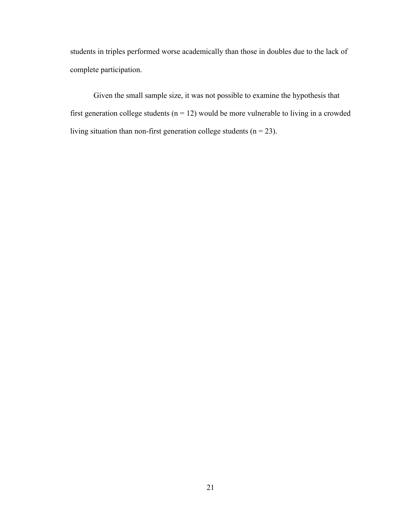students in triples performed worse academically than those in doubles due to the lack of complete participation.

Given the small sample size, it was not possible to examine the hypothesis that first generation college students ( $n = 12$ ) would be more vulnerable to living in a crowded living situation than non-first generation college students ( $n = 23$ ).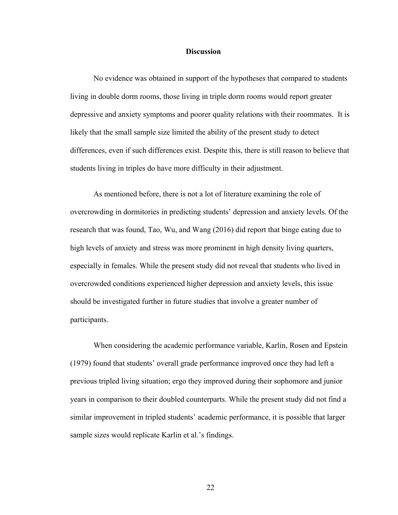#### **Discussion**

No evidence was obtained in support of the hypotheses that compared to students living in double dorm rooms, those living in triple dorm rooms would report greater depressive and anxiety symptoms and poorer quality relations with their roommates. It is likely that the small sample size limited the ability of the present study to detect differences, even if such differences exist. Despite this, there is still reason to believe that students living in triples do have more difficulty in their adjustment.

As mentioned before, there is not a lot of literature examining the role of overcrowding in dormitories in predicting students' depression and anxiety levels. Of the research that was found, Tao, Wu, and Wang (2016) did report that binge eating due to high levels of anxiety and stress was more prominent in high density living quarters, especially in females. While the present study did not reveal that students who lived in overcrowded conditions experienced higher depression and anxiety levels, this issue should be investigated further in future studies that involve a greater number of participants.

When considering the academic performance variable, Karlin, Rosen and Epstein (1979) found that students' overall grade performance improved once they had left a previous tripled living situation; ergo they improved during their sophomore and junior years in comparison to their doubled counterparts. While the present study did not find a similar improvement in tripled students' academic performance, it is possible that larger sample sizes would replicate Karlin et al.'s findings.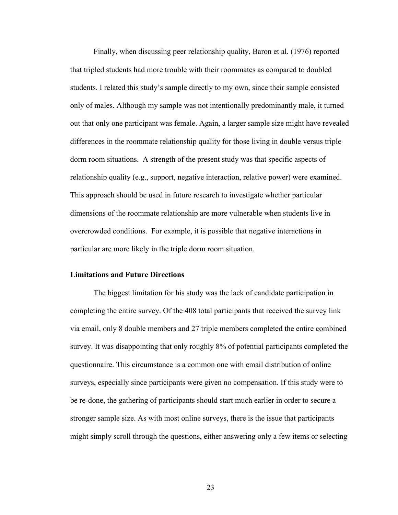Finally, when discussing peer relationship quality, Baron et al. (1976) reported that tripled students had more trouble with their roommates as compared to doubled students. I related this study's sample directly to my own, since their sample consisted only of males. Although my sample was not intentionally predominantly male, it turned out that only one participant was female. Again, a larger sample size might have revealed differences in the roommate relationship quality for those living in double versus triple dorm room situations. A strength of the present study was that specific aspects of relationship quality (e.g., support, negative interaction, relative power) were examined. This approach should be used in future research to investigate whether particular dimensions of the roommate relationship are more vulnerable when students live in overcrowded conditions. For example, it is possible that negative interactions in particular are more likely in the triple dorm room situation.

#### **Limitations and Future Directions**

The biggest limitation for his study was the lack of candidate participation in completing the entire survey. Of the 408 total participants that received the survey link via email, only 8 double members and 27 triple members completed the entire combined survey. It was disappointing that only roughly 8% of potential participants completed the questionnaire. This circumstance is a common one with email distribution of online surveys, especially since participants were given no compensation. If this study were to be re-done, the gathering of participants should start much earlier in order to secure a stronger sample size. As with most online surveys, there is the issue that participants might simply scroll through the questions, either answering only a few items or selecting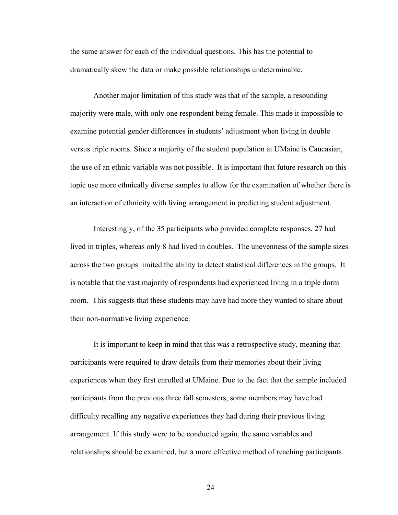the same answer for each of the individual questions. This has the potential to dramatically skew the data or make possible relationships undeterminable.

Another major limitation of this study was that of the sample, a resounding majority were male, with only one respondent being female. This made it impossible to examine potential gender differences in students' adjustment when living in double versus triple rooms. Since a majority of the student population at UMaine is Caucasian, the use of an ethnic variable was not possible. It is important that future research on this topic use more ethnically diverse samples to allow for the examination of whether there is an interaction of ethnicity with living arrangement in predicting student adjustment.

Interestingly, of the 35 participants who provided complete responses, 27 had lived in triples, whereas only 8 had lived in doubles. The unevenness of the sample sizes across the two groups limited the ability to detect statistical differences in the groups. It is notable that the vast majority of respondents had experienced living in a triple dorm room. This suggests that these students may have had more they wanted to share about their non-normative living experience.

It is important to keep in mind that this was a retrospective study, meaning that participants were required to draw details from their memories about their living experiences when they first enrolled at UMaine. Due to the fact that the sample included participants from the previous three fall semesters, some members may have had difficulty recalling any negative experiences they had during their previous living arrangement. If this study were to be conducted again, the same variables and relationships should be examined, but a more effective method of reaching participants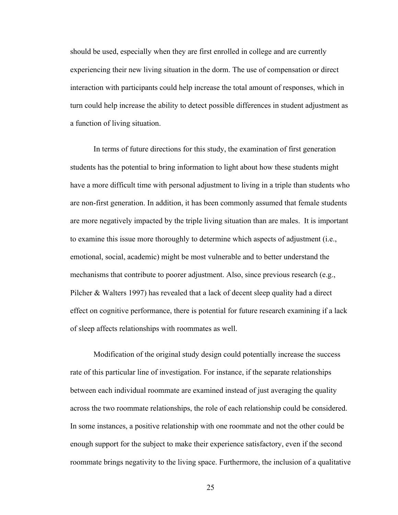should be used, especially when they are first enrolled in college and are currently experiencing their new living situation in the dorm. The use of compensation or direct interaction with participants could help increase the total amount of responses, which in turn could help increase the ability to detect possible differences in student adjustment as a function of living situation.

In terms of future directions for this study, the examination of first generation students has the potential to bring information to light about how these students might have a more difficult time with personal adjustment to living in a triple than students who are non-first generation. In addition, it has been commonly assumed that female students are more negatively impacted by the triple living situation than are males. It is important to examine this issue more thoroughly to determine which aspects of adjustment (i.e., emotional, social, academic) might be most vulnerable and to better understand the mechanisms that contribute to poorer adjustment. Also, since previous research (e.g., Pilcher & Walters 1997) has revealed that a lack of decent sleep quality had a direct effect on cognitive performance, there is potential for future research examining if a lack of sleep affects relationships with roommates as well.

Modification of the original study design could potentially increase the success rate of this particular line of investigation. For instance, if the separate relationships between each individual roommate are examined instead of just averaging the quality across the two roommate relationships, the role of each relationship could be considered. In some instances, a positive relationship with one roommate and not the other could be enough support for the subject to make their experience satisfactory, even if the second roommate brings negativity to the living space. Furthermore, the inclusion of a qualitative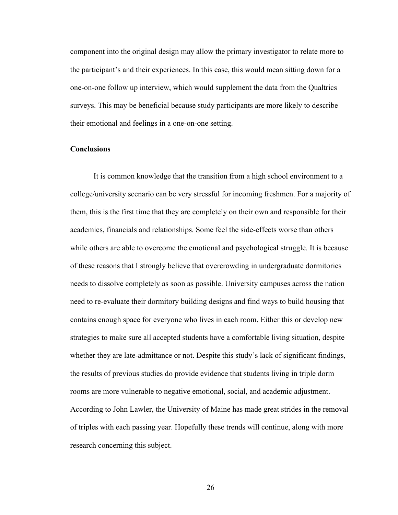component into the original design may allow the primary investigator to relate more to the participant's and their experiences. In this case, this would mean sitting down for a one-on-one follow up interview, which would supplement the data from the Qualtrics surveys. This may be beneficial because study participants are more likely to describe their emotional and feelings in a one-on-one setting.

#### **Conclusions**

It is common knowledge that the transition from a high school environment to a college/university scenario can be very stressful for incoming freshmen. For a majority of them, this is the first time that they are completely on their own and responsible for their academics, financials and relationships. Some feel the side-effects worse than others while others are able to overcome the emotional and psychological struggle. It is because of these reasons that I strongly believe that overcrowding in undergraduate dormitories needs to dissolve completely as soon as possible. University campuses across the nation need to re-evaluate their dormitory building designs and find ways to build housing that contains enough space for everyone who lives in each room. Either this or develop new strategies to make sure all accepted students have a comfortable living situation, despite whether they are late-admittance or not. Despite this study's lack of significant findings, the results of previous studies do provide evidence that students living in triple dorm rooms are more vulnerable to negative emotional, social, and academic adjustment. According to John Lawler, the University of Maine has made great strides in the removal of triples with each passing year. Hopefully these trends will continue, along with more research concerning this subject.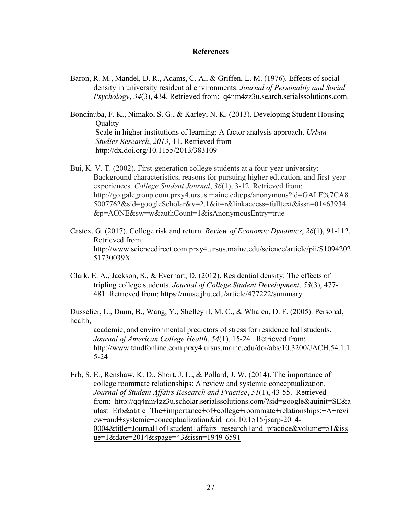#### **References**

- Baron, R. M., Mandel, D. R., Adams, C. A., & Griffen, L. M. (1976). Effects of social density in university residential environments. *Journal of Personality and Social Psychology*, *34*(3), 434. Retrieved from: q4nm4zz3u.search.serialssolutions.com.
- Bondinuba, F. K., Nimako, S. G., & Karley, N. K. (2013). Developing Student Housing **Ouality** Scale in higher institutions of learning: A factor analysis approach. *Urban Studies Research*, *2013*, 11. Retrieved from http://dx.doi.org/10.1155/2013/383109
- Bui, K. V. T. (2002). First-generation college students at a four-year university: Background characteristics, reasons for pursuing higher education, and first-year experiences. *College Student Journal*, *36*(1), 3-12. Retrieved from: http://go.galegroup.com.prxy4.ursus.maine.edu/ps/anonymous?id=GALE%7CA8 5007762&sid=googleScholar&v=2.1&it=r&linkaccess=fulltext&issn=01463934 &p=AONE&sw=w&authCount=1&isAnonymousEntry=true
- Castex, G. (2017). College risk and return. *Review of Economic Dynamics*, *26*(1), 91-112. Retrieved from: http://www.sciencedirect.com.prxy4.ursus.maine.edu/science/article/pii/S1094202 51730039X
- Clark, E. A., Jackson, S., & Everhart, D. (2012). Residential density: The effects of tripling college students. *Journal of College Student Development*, *53*(3), 477- 481. Retrieved from: https://muse.jhu.edu/article/477222/summary

Dusselier, L., Dunn, B., Wang, Y., Shelley iI, M. C., & Whalen, D. F. (2005). Personal, health,

academic, and environmental predictors of stress for residence hall students. *Journal of American College Health*, *54*(1), 15-24. Retrieved from: http://www.tandfonline.com.prxy4.ursus.maine.edu/doi/abs/10.3200/JACH.54.1.1 5-24

Erb, S. E., Renshaw, K. D., Short, J. L., & Pollard, J. W. (2014). The importance of college roommate relationships: A review and systemic conceptualization. *Journal of Student Affairs Research and Practice*, *51*(1), 43-55. Retrieved from: http://qq4nm4zz3u.scholar.serialssolutions.com/?sid=google&auinit=SE&a ulast=Erb&atitle=The+importance+of+college+roommate+relationships:+A+revi ew+and+systemic+conceptualization&id=doi:10.1515/jsarp-2014- 0004&title=Journal+of+student+affairs+research+and+practice&volume=51&iss ue=1&date=2014&spage=43&issn=1949-6591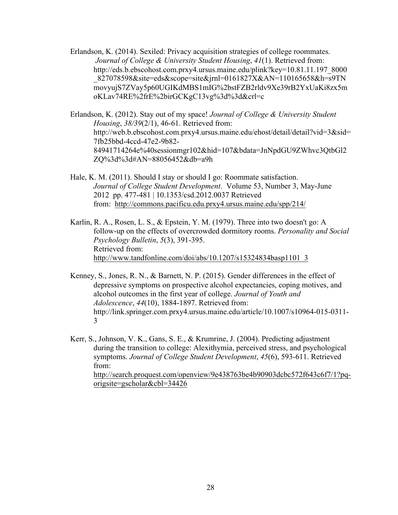Erlandson, K. (2014). Sexiled: Privacy acquisition strategies of college roommates. *Journal of College & University Student Housing*, *41*(1). Retrieved from: http://eds.b.ebscohost.com.prxy4.ursus.maine.edu/plink?key=10.81.11.197\_8000 \_827078598&site=eds&scope=site&jrnl=0161827X&AN=110165658&h=s9TN movyujS7ZVay5p60UGIKdMBS1mIG%2bstFZB2rldv9Xe39rB2YxUaKi8zx5m oKLav74RE%2frE%2birGCKgC13vg%3d%3d&crl=c

Erlandson, K. (2012). Stay out of my space! *Journal of College & University Student Housing*, *38/39*(2/1), 46-61. Retrieved from: http://web.b.ebscohost.com.prxy4.ursus.maine.edu/ehost/detail/detail?vid=3&sid= 7fb25bbd-4ccd-47e2-9b82- 84941714264e%40sessionmgr102&hid=107&bdata=JnNpdGU9ZWhvc3QtbGl2 ZQ%3d%3d#AN=88056452&db=a9h

Hale, K. M. (2011). Should I stay or should I go: Roommate satisfaction. *Journal of College Student Development*. Volume 53, Number 3, May-June 2012 pp. 477-481 | 10.1353/csd.2012.0037 Retrieved from: http://commons.pacificu.edu.prxy4.ursus.maine.edu/spp/214/

Karlin, R. A., Rosen, L. S., & Epstein, Y. M. (1979). Three into two doesn't go: A follow-up on the effects of overcrowded dormitory rooms. *Personality and Social Psychology Bulletin*, *5*(3), 391-395. Retrieved from: http://www.tandfonline.com/doi/abs/10.1207/s15324834basp1101\_3

Kenney, S., Jones, R. N., & Barnett, N. P. (2015). Gender differences in the effect of depressive symptoms on prospective alcohol expectancies, coping motives, and alcohol outcomes in the first year of college. *Journal of Youth and Adolescence*, *44*(10), 1884-1897. Retrieved from: http://link.springer.com.prxy4.ursus.maine.edu/article/10.1007/s10964-015-0311- 3

Kerr, S., Johnson, V. K., Gans, S. E., & Krumrine, J. (2004). Predicting adjustment during the transition to college: Alexithymia, perceived stress, and psychological symptoms. *Journal of College Student Development*, *45*(6), 593-611. Retrieved from: http://search.proquest.com/openview/9e438763be4b90903dcbc572f643c6f7/1?pqorigsite=gscholar&cbl=34426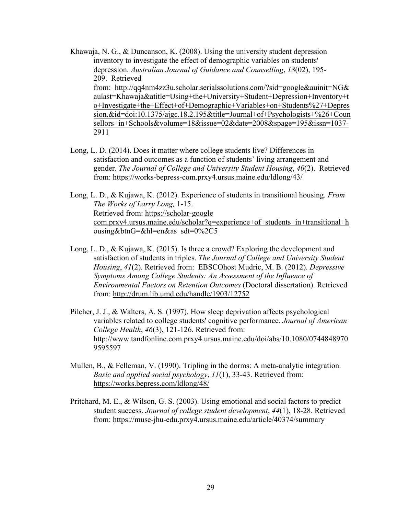Khawaja, N. G., & Duncanson, K. (2008). Using the university student depression inventory to investigate the effect of demographic variables on students' depression. *Australian Journal of Guidance and Counselling*, *18*(02), 195- 209. Retrieved from: http://qq4nm4zz3u.scholar.serialssolutions.com/?sid=google&auinit=NG& aulast=Khawaja&atitle=Using+the+University+Student+Depression+Inventory+t o+Investigate+the+Effect+of+Demographic+Variables+on+Students%27+Depres sion.&id=doi:10.1375/ajgc.18.2.195&title=Journal+of+Psychologists+%26+Coun sellors+in+Schools&volume=18&issue=02&date=2008&spage=195&issn=1037- 2911

- Long, L. D. (2014). Does it matter where college students live? Differences in satisfaction and outcomes as a function of students' living arrangement and gender. *The Journal of College and University Student Housing*, *40*(2). Retrieved from: https://works-bepress-com.prxy4.ursus.maine.edu/ldlong/43/
- Long, L. D., & Kujawa, K. (2012). Experience of students in transitional housing. *From The Works of Larry Long,* 1-15. Retrieved from: https://scholar-google com.prxy4.ursus.maine.edu/scholar?q=experience+of+students+in+transitional+h ousing&btnG=&hl=en&as\_sdt=0%2C5
- Long, L. D., & Kujawa, K. (2015). Is three a crowd? Exploring the development and satisfaction of students in triples. *The Journal of College and University Student Housing*, *41*(2). Retrieved from: EBSCOhost Mudric, M. B. (2012). *Depressive Symptoms Among College Students: An Assessment of the Influence of Environmental Factors on Retention Outcomes* (Doctoral dissertation). Retrieved from: http://drum.lib.umd.edu/handle/1903/12752
- Pilcher, J. J., & Walters, A. S. (1997). How sleep deprivation affects psychological variables related to college students' cognitive performance. *Journal of American College Health*, *46*(3), 121-126. Retrieved from: http://www.tandfonline.com.prxy4.ursus.maine.edu/doi/abs/10.1080/0744848970 9595597
- Mullen, B., & Felleman, V. (1990). Tripling in the dorms: A meta-analytic integration. *Basic and applied social psychology*, *11*(1), 33-43. Retrieved from: https://works.bepress.com/ldlong/48/
- Pritchard, M. E., & Wilson, G. S. (2003). Using emotional and social factors to predict student success. *Journal of college student development*, *44*(1), 18-28. Retrieved from: https://muse-jhu-edu.prxy4.ursus.maine.edu/article/40374/summary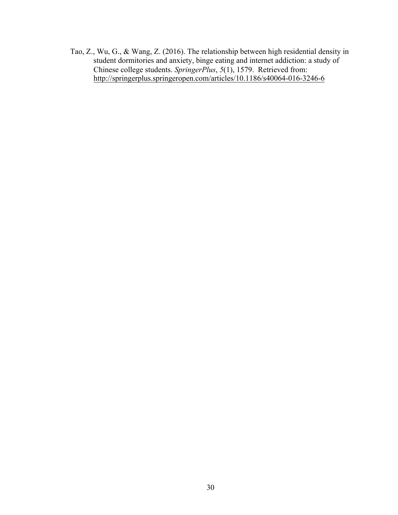Tao, Z., Wu, G., & Wang, Z. (2016). The relationship between high residential density in student dormitories and anxiety, binge eating and internet addiction: a study of Chinese college students. *SpringerPlus*, *5*(1), 1579. Retrieved from: http://springerplus.springeropen.com/articles/10.1186/s40064-016-3246-6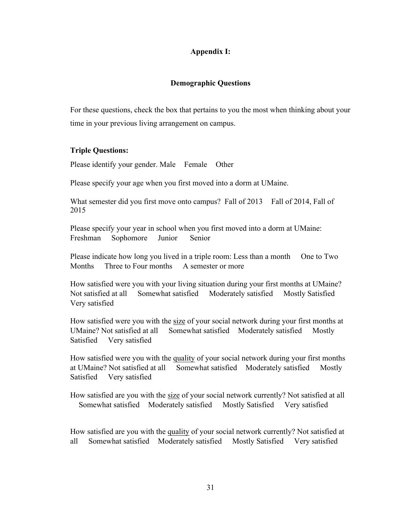## **Appendix I:**

## **Demographic Questions**

For these questions, check the box that pertains to you the most when thinking about your time in your previous living arrangement on campus.

#### **Triple Questions:**

Please identify your gender. Male Female Other

Please specify your age when you first moved into a dorm at UMaine.

What semester did you first move onto campus? Fall of 2013 Fall of 2014, Fall of 2015

Please specify your year in school when you first moved into a dorm at UMaine: Freshman Sophomore Junior Senior

Please indicate how long you lived in a triple room: Less than a month One to Two Months Three to Four months A semester or more

How satisfied were you with your living situation during your first months at UMaine? Not satisfied at all Somewhat satisfied Moderately satisfied Mostly Satisfied Very satisfied

How satisfied were you with the size of your social network during your first months at UMaine? Not satisfied at all Somewhat satisfied Moderately satisfied Mostly Satisfied Very satisfied

How satisfied were you with the quality of your social network during your first months at UMaine? Not satisfied at all Somewhat satisfied Moderately satisfied Mostly Satisfied Very satisfied

How satisfied are you with the size of your social network currently? Not satisfied at all Somewhat satisfied Moderately satisfied Mostly Satisfied Very satisfied

How satisfied are you with the quality of your social network currently? Not satisfied at all Somewhat satisfied Moderately satisfied Mostly Satisfied Very satisfied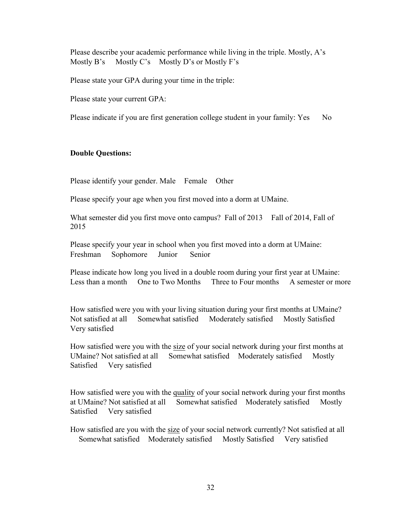Please describe your academic performance while living in the triple. Mostly, A's Mostly B's Mostly C's Mostly D's or Mostly F's

Please state your GPA during your time in the triple:

Please state your current GPA:

Please indicate if you are first generation college student in your family: Yes No

#### **Double Questions:**

Please identify your gender. Male Female Other

Please specify your age when you first moved into a dorm at UMaine.

What semester did you first move onto campus? Fall of 2013 Fall of 2014, Fall of 2015

Please specify your year in school when you first moved into a dorm at UMaine: Freshman Sophomore Junior Senior

Please indicate how long you lived in a double room during your first year at UMaine: Less than a month One to Two Months Three to Four months A semester or more

How satisfied were you with your living situation during your first months at UMaine? Not satisfied at all Somewhat satisfied Moderately satisfied Mostly Satisfied Very satisfied

How satisfied were you with the size of your social network during your first months at UMaine? Not satisfied at all Somewhat satisfied Moderately satisfied Mostly Satisfied Very satisfied

How satisfied were you with the quality of your social network during your first months at UMaine? Not satisfied at all Somewhat satisfied Moderately satisfied Mostly Satisfied Very satisfied

How satisfied are you with the size of your social network currently? Not satisfied at all Somewhat satisfied Moderately satisfied Mostly Satisfied Very satisfied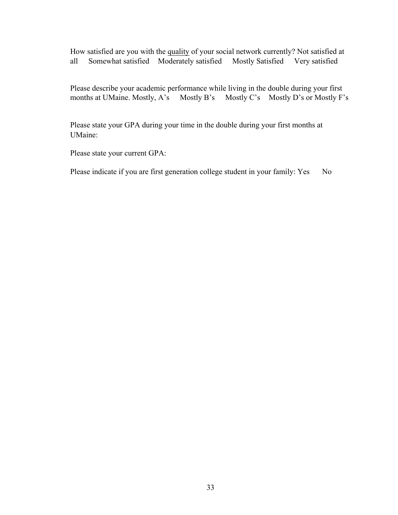How satisfied are you with the quality of your social network currently? Not satisfied at all Somewhat satisfied Moderately satisfied Mostly Satisfied Very satisfied

Please describe your academic performance while living in the double during your first<br>months at UMaine. Mostly, A's Mostly B's Mostly C's Mostly D's or Mostly F' Mostly  $C$ 's Mostly D's or Mostly F's

Please state your GPA during your time in the double during your first months at UMaine:

Please state your current GPA:

Please indicate if you are first generation college student in your family: Yes No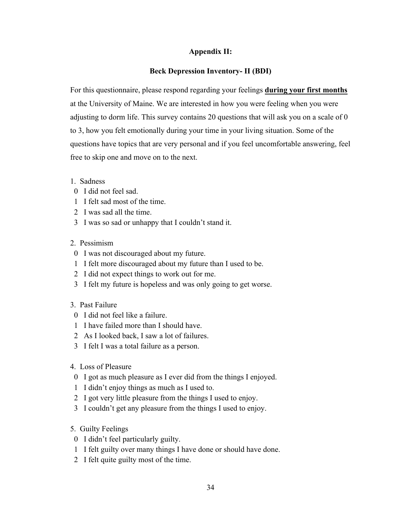## **Appendix II:**

## **Beck Depression Inventory- II (BDI)**

For this questionnaire, please respond regarding your feelings **during your first months** at the University of Maine. We are interested in how you were feeling when you were adjusting to dorm life. This survey contains 20 questions that will ask you on a scale of 0 to 3, how you felt emotionally during your time in your living situation. Some of the questions have topics that are very personal and if you feel uncomfortable answering, feel free to skip one and move on to the next.

- 1. Sadness
- 0 I did not feel sad.
- 1 I felt sad most of the time.
- 2 I was sad all the time.
- 3 I was so sad or unhappy that I couldn't stand it.
- 2. Pessimism
- 0 I was not discouraged about my future.
- 1 I felt more discouraged about my future than I used to be.
- 2 I did not expect things to work out for me.
- 3 I felt my future is hopeless and was only going to get worse.
- 3. Past Failure
- 0 I did not feel like a failure.
- 1 I have failed more than I should have.
- 2 As I looked back, I saw a lot of failures.
- 3 I felt I was a total failure as a person.
- 4. Loss of Pleasure
- 0 I got as much pleasure as I ever did from the things I enjoyed.
- 1 I didn't enjoy things as much as I used to.
- 2 I got very little pleasure from the things I used to enjoy.
- 3 I couldn't get any pleasure from the things I used to enjoy.
- 5. Guilty Feelings
- 0 I didn't feel particularly guilty.
- 1 I felt guilty over many things I have done or should have done.
- 2 I felt quite guilty most of the time.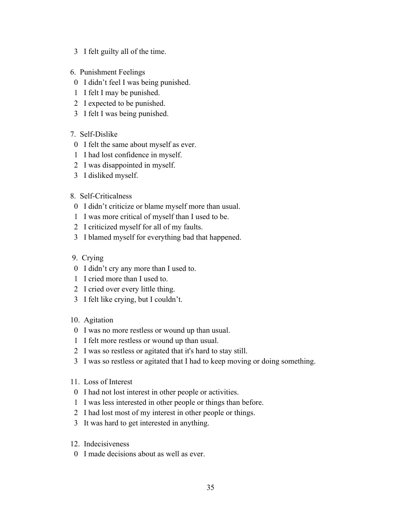- 3 I felt guilty all of the time.
- 6. Punishment Feelings
- 0 I didn't feel I was being punished.
- 1 I felt I may be punished.
- 2 I expected to be punished.
- 3 I felt I was being punished.
- 7. Self-Dislike
- 0 I felt the same about myself as ever.
- 1 I had lost confidence in myself.
- 2 I was disappointed in myself.
- 3 I disliked myself.
- 8. Self-Criticalness
- 0 I didn't criticize or blame myself more than usual.
- 1 I was more critical of myself than I used to be.
- 2 I criticized myself for all of my faults.
- 3 I blamed myself for everything bad that happened.
- 9. Crying
- 0 I didn't cry any more than I used to.
- 1 I cried more than I used to.
- 2 I cried over every little thing.
- 3 I felt like crying, but I couldn't.
- 10. Agitation
- 0 I was no more restless or wound up than usual.
- 1 I felt more restless or wound up than usual.
- 2 I was so restless or agitated that it's hard to stay still.
- 3 I was so restless or agitated that I had to keep moving or doing something.
- 11. Loss of Interest
- 0 I had not lost interest in other people or activities.
- 1 I was less interested in other people or things than before.
- 2 I had lost most of my interest in other people or things.
- 3 It was hard to get interested in anything.
- 12. Indecisiveness
- 0 I made decisions about as well as ever.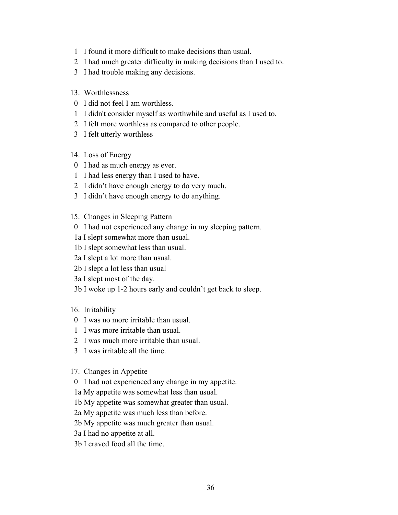- 1 I found it more difficult to make decisions than usual.
- 2 I had much greater difficulty in making decisions than I used to.
- 3 I had trouble making any decisions.
- 13. Worthlessness
- 0 I did not feel I am worthless.
- 1 I didn't consider myself as worthwhile and useful as I used to.
- 2 I felt more worthless as compared to other people.
- 3 I felt utterly worthless
- 14. Loss of Energy
- 0 I had as much energy as ever.
- 1 I had less energy than I used to have.
- 2 I didn't have enough energy to do very much.
- 3 I didn't have enough energy to do anything.
- 15. Changes in Sleeping Pattern
- 0 I had not experienced any change in my sleeping pattern.
- 1a I slept somewhat more than usual.
- 1b I slept somewhat less than usual.
- 2a I slept a lot more than usual.
- 2b I slept a lot less than usual
- 3a I slept most of the day.
- 3b I woke up 1-2 hours early and couldn't get back to sleep.
- 16. Irritability
- 0 I was no more irritable than usual.
- 1 I was more irritable than usual.
- 2 I was much more irritable than usual.
- 3 I was irritable all the time.
- 17. Changes in Appetite
- 0 I had not experienced any change in my appetite.
- 1a My appetite was somewhat less than usual.
- 1b My appetite was somewhat greater than usual.
- 2a My appetite was much less than before.
- 2b My appetite was much greater than usual.
- 3a I had no appetite at all.
- 3b I craved food all the time.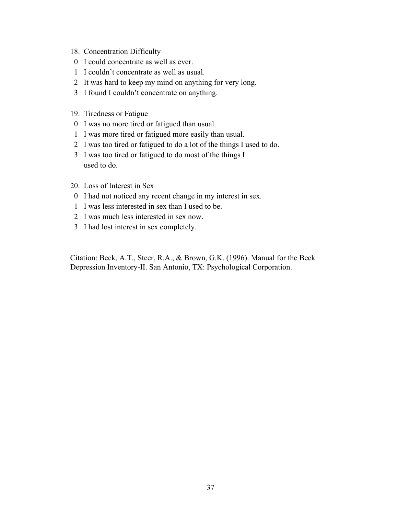- 18. Concentration Difficulty
- 0 I could concentrate as well as ever.
- 1 I couldn't concentrate as well as usual.
- 2 It was hard to keep my mind on anything for very long.
- 3 I found I couldn't concentrate on anything.
- 19. Tiredness or Fatigue
- 0 I was no more tired or fatigued than usual.
- 1 I was more tired or fatigued more easily than usual.
- 2 I was too tired or fatigued to do a lot of the things I used to do.
- 3 I was too tired or fatigued to do most of the things I used to do.
- 20. Loss of Interest in Sex
- 0 I had not noticed any recent change in my interest in sex.
- 1 I was less interested in sex than I used to be.
- 2 I was much less interested in sex now.
- 3 I had lost interest in sex completely.

Citation: Beck, A.T., Steer, R.A., & Brown, G.K. (1996). Manual for the Beck Depression Inventory-II. San Antonio, TX: Psychological Corporation.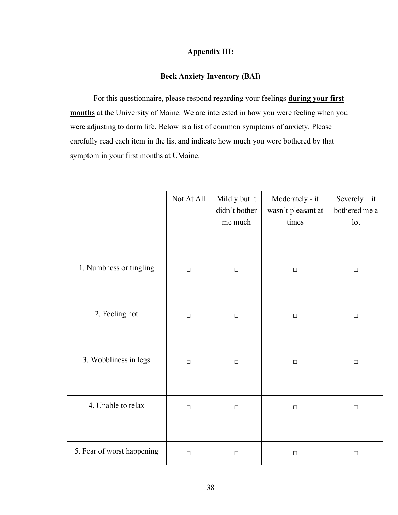## **Appendix III:**

## **Beck Anxiety Inventory (BAI)**

For this questionnaire, please respond regarding your feelings **during your first months** at the University of Maine. We are interested in how you were feeling when you were adjusting to dorm life. Below is a list of common symptoms of anxiety. Please carefully read each item in the list and indicate how much you were bothered by that symptom in your first months at UMaine.

|                            | Not At All | Mildly but it<br>didn't bother<br>me much | Moderately - it<br>wasn't pleasant at<br>times | Severely $-$ it<br>bothered me a<br>lot |
|----------------------------|------------|-------------------------------------------|------------------------------------------------|-----------------------------------------|
| 1. Numbness or tingling    | $\Box$     | $\Box$                                    | $\Box$                                         | $\Box$                                  |
| 2. Feeling hot             | $\Box$     | $\Box$                                    | $\Box$                                         | $\Box$                                  |
| 3. Wobbliness in legs      | $\Box$     | $\Box$                                    | $\Box$                                         | $\Box$                                  |
| 4. Unable to relax         | $\Box$     | $\Box$                                    | $\Box$                                         | $\Box$                                  |
| 5. Fear of worst happening | $\Box$     | $\Box$                                    | $\Box$                                         | $\Box$                                  |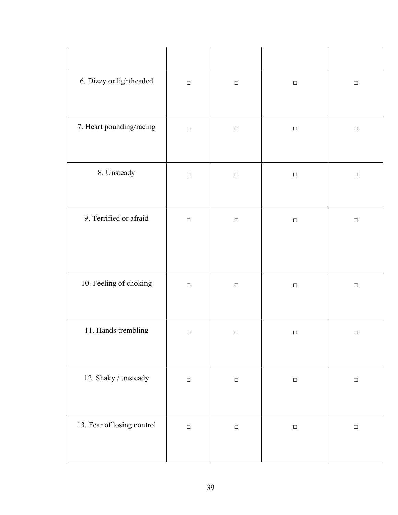| 6. Dizzy or lightheaded    | $\Box$ | $\Box$ | $\Box$ | $\Box$           |
|----------------------------|--------|--------|--------|------------------|
| 7. Heart pounding/racing   | $\Box$ | $\Box$ | $\Box$ | $\Box$           |
| 8. Unsteady                | $\Box$ | $\Box$ | $\Box$ | $\Box$           |
| 9. Terrified or afraid     | $\Box$ | $\Box$ | $\Box$ | $\Box$           |
| 10. Feeling of choking     | $\Box$ | $\Box$ | $\Box$ | $\hfill \square$ |
| 11. Hands trembling        | $\Box$ | $\Box$ | $\Box$ | $\Box$           |
| 12. Shaky / unsteady       | $\Box$ | $\Box$ | $\Box$ | $\Box$           |
| 13. Fear of losing control | $\Box$ | $\Box$ | $\Box$ | $\Box$           |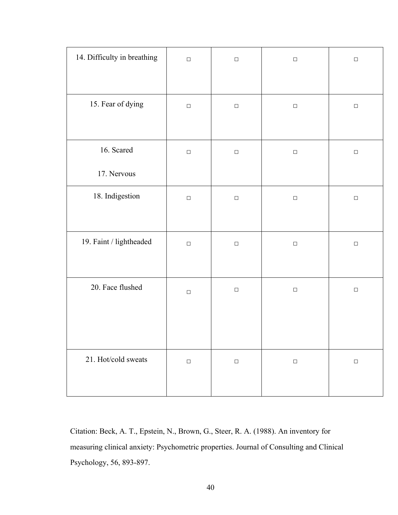| 14. Difficulty in breathing | $\Box$ | $\Box$ | $\Box$ | $\Box$ |
|-----------------------------|--------|--------|--------|--------|
| 15. Fear of dying           | $\Box$ | $\Box$ | $\Box$ | $\Box$ |
| 16. Scared<br>17. Nervous   | $\Box$ | $\Box$ | $\Box$ | $\Box$ |
| 18. Indigestion             | $\Box$ | $\Box$ | $\Box$ | $\Box$ |
| 19. Faint / lightheaded     | $\Box$ | $\Box$ | $\Box$ | $\Box$ |
| 20. Face flushed            | $\Box$ | $\Box$ | $\Box$ | $\Box$ |
| 21. Hot/cold sweats         | $\Box$ | $\Box$ | $\Box$ | $\Box$ |

Citation: Beck, A. T., Epstein, N., Brown, G., Steer, R. A. (1988). An inventory for measuring clinical anxiety: Psychometric properties. Journal of Consulting and Clinical Psychology, 56, 893-897.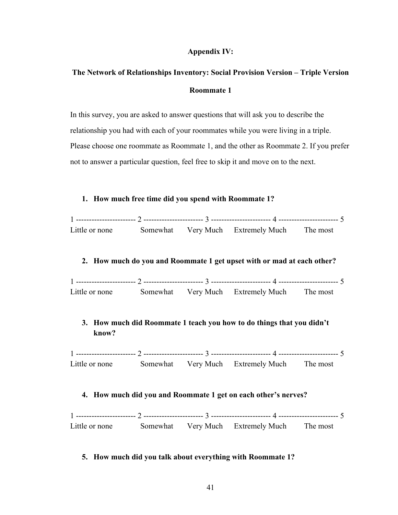#### **Appendix IV:**

## **The Network of Relationships Inventory: Social Provision Version – Triple Version Roommate 1**

In this survey, you are asked to answer questions that will ask you to describe the relationship you had with each of your roommates while you were living in a triple. Please choose one roommate as Roommate 1, and the other as Roommate 2. If you prefer not to answer a particular question, feel free to skip it and move on to the next.

#### **1. How much free time did you spend with Roommate 1?**

| Little or none |  | Somewhat Very Much Extremely Much The most |  |
|----------------|--|--------------------------------------------|--|

#### **2. How much do you and Roommate 1 get upset with or mad at each other?**

| Little or none |  | Somewhat Very Much Extremely Much The most |  |
|----------------|--|--------------------------------------------|--|

## **3. How much did Roommate 1 teach you how to do things that you didn't know?**

1 ----------------------- 2 ----------------------- 3 ----------------------- 4 ----------------------- 5 Little or none Somewhat Very Much Extremely Much The most

#### **4. How much did you and Roommate 1 get on each other's nerves?**

1 ----------------------- 2 ----------------------- 3 ----------------------- 4 ----------------------- 5 Little or none Somewhat Very Much Extremely Much The most

#### **5. How much did you talk about everything with Roommate 1?**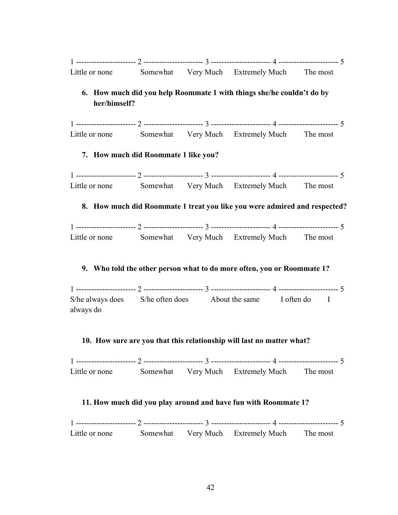| Little or none                                                 |  |  | Somewhat Very Much Extremely Much The most                                |          |  |  |  |
|----------------------------------------------------------------|--|--|---------------------------------------------------------------------------|----------|--|--|--|
| her/himself?                                                   |  |  | 6. How much did you help Roommate 1 with things she/he couldn't do by     |          |  |  |  |
|                                                                |  |  |                                                                           |          |  |  |  |
|                                                                |  |  | Little or none Somewhat Very Much Extremely Much The most                 |          |  |  |  |
| 7. How much did Roommate 1 like you?                           |  |  |                                                                           |          |  |  |  |
|                                                                |  |  |                                                                           |          |  |  |  |
|                                                                |  |  | Little or none Somewhat Very Much Extremely Much The most                 |          |  |  |  |
|                                                                |  |  | 8. How much did Roommate 1 treat you like you were admired and respected? |          |  |  |  |
|                                                                |  |  |                                                                           |          |  |  |  |
|                                                                |  |  | Little or none Somewhat Very Much Extremely Much The most                 |          |  |  |  |
|                                                                |  |  | 9. Who told the other person what to do more often, you or Roommate 1?    |          |  |  |  |
| always do                                                      |  |  | S/he always does S/he often does About the same I often do I              |          |  |  |  |
|                                                                |  |  | 10. How sure are you that this relationship will last no matter what?     |          |  |  |  |
|                                                                |  |  |                                                                           |          |  |  |  |
| Little or none                                                 |  |  | Somewhat Very Much Extremely Much The most                                |          |  |  |  |
| 11. How much did you play around and have fun with Roommate 1? |  |  |                                                                           |          |  |  |  |
|                                                                |  |  |                                                                           |          |  |  |  |
| Little or none                                                 |  |  | Somewhat Very Much Extremely Much                                         | The most |  |  |  |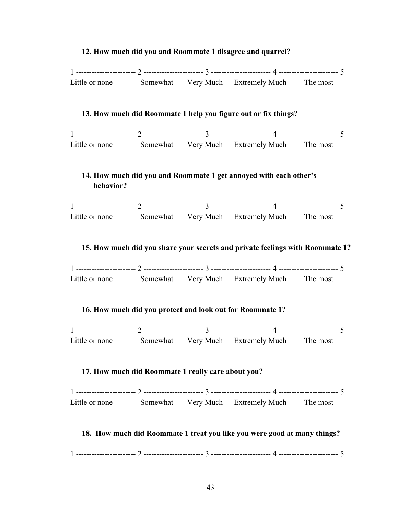# **12. How much did you and Roommate 1 disagree and quarrel?** 1 ----------------------- 2 ----------------------- 3 ----------------------- 4 ----------------------- 5 Little or none Somewhat Very Much Extremely Much The most **13. How much did Roommate 1 help you figure out or fix things?**  1 ----------------------- 2 ----------------------- 3 ----------------------- 4 ----------------------- 5 Little or none Somewhat Very Much Extremely Much The most **14. How much did you and Roommate 1 get annoyed with each other's behavior?** 1 ----------------------- 2 ----------------------- 3 ----------------------- 4 ----------------------- 5 Little or none Somewhat Very Much Extremely Much The most **15. How much did you share your secrets and private feelings with Roommate 1?** 1 ----------------------- 2 ----------------------- 3 ----------------------- 4 ----------------------- 5 Little or none Somewhat Very Much Extremely Much The most **16. How much did you protect and look out for Roommate 1?** 1 ----------------------- 2 ----------------------- 3 ----------------------- 4 ----------------------- 5 Little or none Somewhat Very Much Extremely Much The most **17. How much did Roommate 1 really care about you?** 1 ----------------------- 2 ----------------------- 3 ----------------------- 4 ----------------------- 5 Little or none Somewhat Very Much Extremely Much The most **18. How much did Roommate 1 treat you like you were good at many things?**  1 ----------------------- 2 ----------------------- 3 ----------------------- 4 ----------------------- 5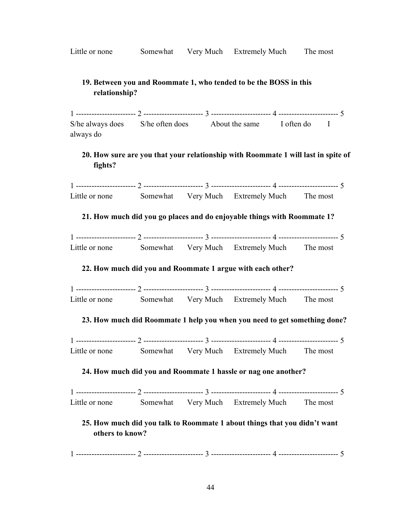Little or none Somewhat Very Much Extremely Much The most

## **19. Between you and Roommate 1, who tended to be the BOSS in this relationship?**

1 ----------------------- 2 ----------------------- 3 ----------------------- 4 ----------------------- 5 S/he always does S/he often does About the same I often do I always do

## **20. How sure are you that your relationship with Roommate 1 will last in spite of fights?**

1 ----------------------- 2 ----------------------- 3 ----------------------- 4 ----------------------- 5 Little or none Somewhat Very Much Extremely Much The most

## **21. How much did you go places and do enjoyable things with Roommate 1?**

| Little or none | Somewhat | Very Much Extremely Much | The most |
|----------------|----------|--------------------------|----------|

## **22. How much did you and Roommate 1 argue with each other?**

1 ----------------------- 2 ----------------------- 3 ----------------------- 4 ----------------------- 5 Little or none Somewhat Very Much Extremely Much The most

## **23. How much did Roommate 1 help you when you need to get something done?**

1 ----------------------- 2 ----------------------- 3 ----------------------- 4 ----------------------- 5 Little or none Somewhat Very Much Extremely Much The most

#### **24. How much did you and Roommate 1 hassle or nag one another?**

| Little or none |  | Somewhat Very Much Extremely Much | The most |
|----------------|--|-----------------------------------|----------|

## **25. How much did you talk to Roommate 1 about things that you didn't want others to know?**

1 ----------------------- 2 ----------------------- 3 ----------------------- 4 ----------------------- 5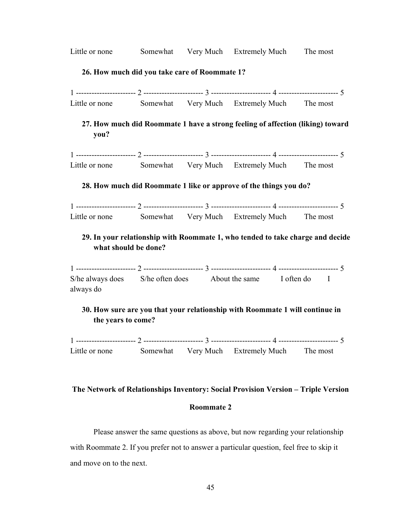| Little or none                                                                                         |                                                                   |  | Somewhat Very Much Extremely Much The most |                                                                                |  |  |  |  |
|--------------------------------------------------------------------------------------------------------|-------------------------------------------------------------------|--|--------------------------------------------|--------------------------------------------------------------------------------|--|--|--|--|
|                                                                                                        | 26. How much did you take care of Roommate 1?                     |  |                                            |                                                                                |  |  |  |  |
|                                                                                                        |                                                                   |  |                                            |                                                                                |  |  |  |  |
| Little or none Somewhat Very Much Extremely Much                                                       |                                                                   |  |                                            | The most                                                                       |  |  |  |  |
| you?                                                                                                   |                                                                   |  |                                            | 27. How much did Roommate 1 have a strong feeling of affection (liking) toward |  |  |  |  |
|                                                                                                        |                                                                   |  |                                            |                                                                                |  |  |  |  |
| Little or none Somewhat Very Much Extremely Much The most                                              |                                                                   |  |                                            |                                                                                |  |  |  |  |
|                                                                                                        | 28. How much did Roommate 1 like or approve of the things you do? |  |                                            |                                                                                |  |  |  |  |
|                                                                                                        |                                                                   |  |                                            |                                                                                |  |  |  |  |
| Little or none                                                                                         |                                                                   |  | Somewhat Very Much Extremely Much The most |                                                                                |  |  |  |  |
| 29. In your relationship with Roommate 1, who tended to take charge and decide<br>what should be done? |                                                                   |  |                                            |                                                                                |  |  |  |  |
|                                                                                                        |                                                                   |  |                                            |                                                                                |  |  |  |  |
| S/he always does S/he often does About the same I often do I<br>always do                              |                                                                   |  |                                            |                                                                                |  |  |  |  |
| 30. How sure are you that your relationship with Roommate 1 will continue in<br>the years to come?     |                                                                   |  |                                            |                                                                                |  |  |  |  |
|                                                                                                        |                                                                   |  |                                            |                                                                                |  |  |  |  |

1 ----------------------- 2 ----------------------- 3 ----------------------- 4 ----------------------- 5 Little or none Somewhat Very Much Extremely Much The most

# **The Network of Relationships Inventory: Social Provision Version – Triple Version Roommate 2**

Please answer the same questions as above, but now regarding your relationship with Roommate 2. If you prefer not to answer a particular question, feel free to skip it and move on to the next.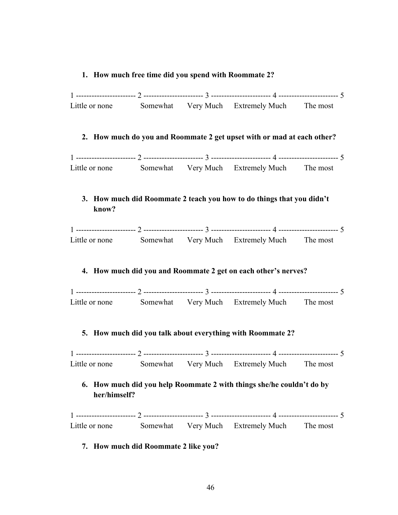#### **1. How much free time did you spend with Roommate 2?**

| Little or none | Somewhat | Very Much Extremely Much | The most |
|----------------|----------|--------------------------|----------|

#### **2. How much do you and Roommate 2 get upset with or mad at each other?**

|                |          | ------    |                       |          |
|----------------|----------|-----------|-----------------------|----------|
| Little or none | Somewhat | Very Much | <b>Extremely Much</b> | I he mos |

## **3. How much did Roommate 2 teach you how to do things that you didn't know?**

| Little or none | Somewhat | Very Much | <b>Extremely Much</b> | I he most |
|----------------|----------|-----------|-----------------------|-----------|

#### **4. How much did you and Roommate 2 get on each other's nerves?**

| Little or none | Somewhat | Very Much | <b>Extremely Much</b> | The most |
|----------------|----------|-----------|-----------------------|----------|

#### **5. How much did you talk about everything with Roommate 2?**

1 ----------------------- 2 ----------------------- 3 ----------------------- 4 ----------------------- 5 Little or none Somewhat Very Much Extremely Much The most

## **6. How much did you help Roommate 2 with things she/he couldn't do by her/himself?**

1 ----------------------- 2 ----------------------- 3 ----------------------- 4 ----------------------- 5 Little or none Somewhat Very Much Extremely Much The most

#### **7. How much did Roommate 2 like you?**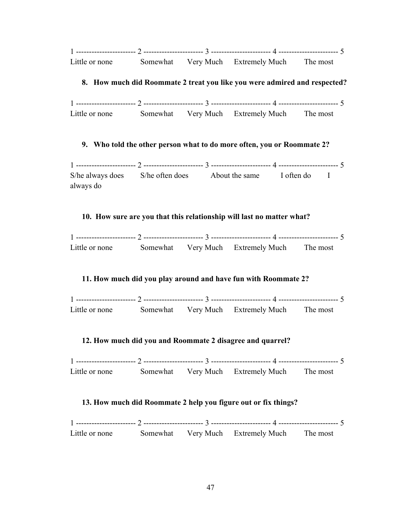|                |          | -----     |                       | ------ |
|----------------|----------|-----------|-----------------------|--------|
| Little or none | Somewhat | Verv Much | <b>Extremely Much</b> | he mos |

## **8. How much did Roommate 2 treat you like you were admired and respected?**

1 ----------------------- 2 ----------------------- 3 ----------------------- 4 ----------------------- 5 Little or none Somewhat Very Much Extremely Much The most

## **9. Who told the other person what to do more often, you or Roommate 2?**

1 ----------------------- 2 ----------------------- 3 ----------------------- 4 ----------------------- 5 S/he always does S/he often does About the same I often do I always do

## **10. How sure are you that this relationship will last no matter what?**

| Little or none | Somewhat | Very Much | <b>Extremely Much</b> | The most |
|----------------|----------|-----------|-----------------------|----------|

## **11. How much did you play around and have fun with Roommate 2?**

| Little or none | Somewhat | Very Much Extremely Much | The most |
|----------------|----------|--------------------------|----------|

## **12. How much did you and Roommate 2 disagree and quarrel?**

| Little or none |  | Somewhat Very Much Extremely Much | The most |
|----------------|--|-----------------------------------|----------|

## **13. How much did Roommate 2 help you figure out or fix things?**

| Little or none |  | Somewhat Very Much Extremely Much The most |  |
|----------------|--|--------------------------------------------|--|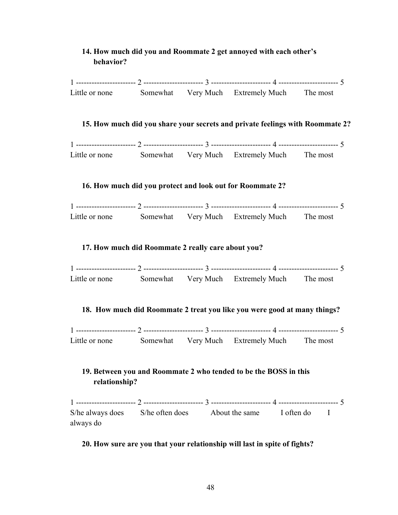## **14. How much did you and Roommate 2 get annoyed with each other's behavior?**



## **20. How sure are you that your relationship will last in spite of fights?**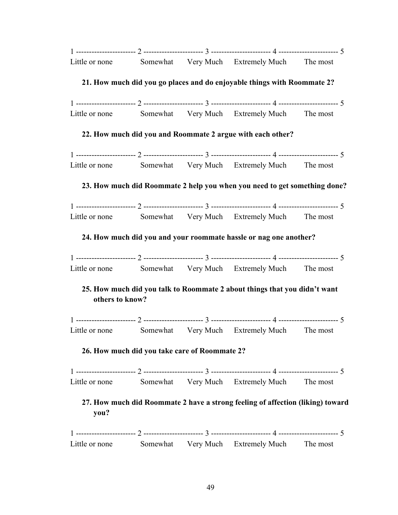| Little or none  |                                               | Somewhat Very Much Extremely Much The most                                     |          |
|-----------------|-----------------------------------------------|--------------------------------------------------------------------------------|----------|
|                 |                                               | 21. How much did you go places and do enjoyable things with Roommate 2?        |          |
|                 |                                               |                                                                                |          |
|                 |                                               | Little or none Somewhat Very Much Extremely Much The most                      |          |
|                 |                                               | 22. How much did you and Roommate 2 argue with each other?                     |          |
|                 |                                               |                                                                                |          |
|                 |                                               | Little or none Somewhat Very Much Extremely Much The most                      |          |
|                 |                                               | 23. How much did Roommate 2 help you when you need to get something done?      |          |
|                 |                                               |                                                                                |          |
|                 |                                               | Little or none Somewhat Very Much Extremely Much The most                      |          |
|                 |                                               | 24. How much did you and your roommate hassle or nag one another?              |          |
|                 |                                               |                                                                                |          |
|                 |                                               | Little or none Somewhat Very Much Extremely Much The most                      |          |
| others to know? |                                               | 25. How much did you talk to Roommate 2 about things that you didn't want      |          |
|                 |                                               |                                                                                |          |
|                 |                                               | Little or none Somewhat Very Much Extremely Much The most                      |          |
|                 | 26. How much did you take care of Roommate 2? |                                                                                |          |
|                 |                                               |                                                                                |          |
| Little or none  |                                               | Somewhat Very Much Extremely Much                                              | The most |
| you?            |                                               | 27. How much did Roommate 2 have a strong feeling of affection (liking) toward |          |
|                 |                                               |                                                                                |          |
| Little or none  |                                               | Somewhat Very Much Extremely Much The most                                     |          |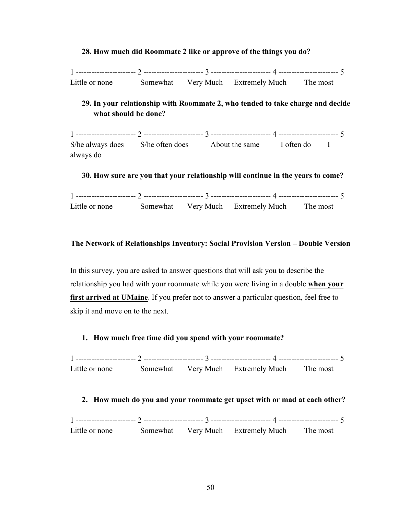#### **28. How much did Roommate 2 like or approve of the things you do?**

1 ----------------------- 2 ----------------------- 3 ----------------------- 4 ----------------------- 5 Little or none Somewhat Very Much Extremely Much The most

## **29. In your relationship with Roommate 2, who tended to take charge and decide what should be done?**

1 ----------------------- 2 ----------------------- 3 ----------------------- 4 ----------------------- 5 S/he always does S/he often does About the same I often do I always do

#### **30. How sure are you that your relationship will continue in the years to come?**

| Little or none |  | Somewhat Very Much Extremely Much | The most |
|----------------|--|-----------------------------------|----------|

#### **The Network of Relationships Inventory: Social Provision Version – Double Version**

In this survey, you are asked to answer questions that will ask you to describe the relationship you had with your roommate while you were living in a double **when your**  first arrived at UMaine. If you prefer not to answer a particular question, feel free to skip it and move on to the next.

#### **1. How much free time did you spend with your roommate?**

1 ----------------------- 2 ----------------------- 3 ----------------------- 4 ----------------------- 5 Little or none Somewhat Very Much Extremely Much The most

#### **2. How much do you and your roommate get upset with or mad at each other?**

1 ----------------------- 2 ----------------------- 3 ----------------------- 4 ----------------------- 5 Little or none Somewhat Very Much Extremely Much The most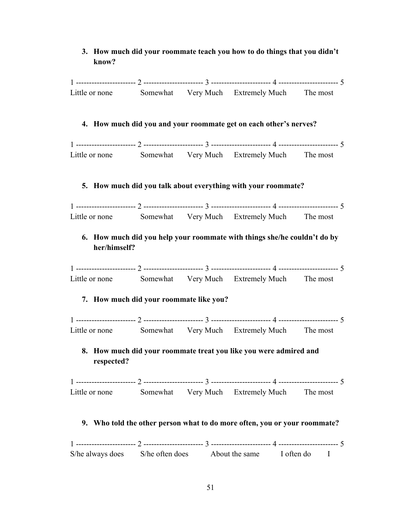## **3. How much did your roommate teach you how to do things that you didn't know?**

|                |                                         | Little or none Somewhat Very Much Extremely Much The most                 |  |
|----------------|-----------------------------------------|---------------------------------------------------------------------------|--|
|                |                                         | 4. How much did you and your roommate get on each other's nerves?         |  |
|                |                                         |                                                                           |  |
|                |                                         | Little or none Somewhat Very Much Extremely Much The most                 |  |
|                |                                         | 5. How much did you talk about everything with your roommate?             |  |
|                |                                         |                                                                           |  |
|                |                                         | Little or none Somewhat Very Much Extremely Much The most                 |  |
| her/himself?   |                                         | 6. How much did you help your roommate with things she/he couldn't do by  |  |
|                |                                         |                                                                           |  |
|                |                                         | Little or none Somewhat Very Much Extremely Much The most                 |  |
|                | 7. How much did your roommate like you? |                                                                           |  |
|                |                                         |                                                                           |  |
|                |                                         | Little or none Somewhat Very Much Extremely Much The most                 |  |
| respected?     |                                         | 8. How much did your roommate treat you like you were admired and         |  |
|                |                                         |                                                                           |  |
| Little or none |                                         | Somewhat Very Much Extremely Much The most                                |  |
|                |                                         | 9. Who told the other person what to do more often, you or your roommate? |  |
|                |                                         |                                                                           |  |
|                |                                         | S/he always does S/he often does About the same I often do I              |  |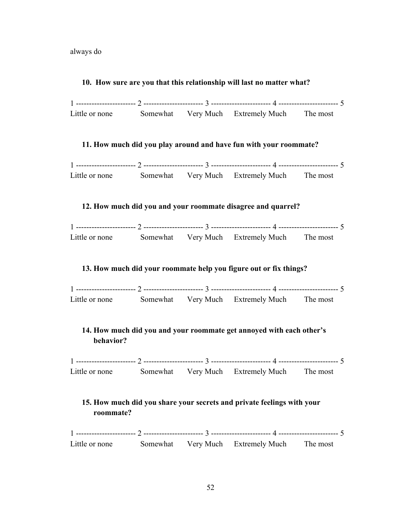always do

#### **10. How sure are you that this relationship will last no matter what?**



#### **11. How much did you play around and have fun with your roommate?**

| Little or none |  | Somewhat Very Much Extremely Much The most |  |
|----------------|--|--------------------------------------------|--|

#### **12. How much did you and your roommate disagree and quarrel?**

| -----          |          |           |                |          |
|----------------|----------|-----------|----------------|----------|
| Little or none | Somewhat | Very Much | Extremely Much | The most |

#### **13. How much did your roommate help you figure out or fix things?**

| Little or none | Somewhat | Very Much | <b>Extremely Much</b> | The most |
|----------------|----------|-----------|-----------------------|----------|

## **14. How much did you and your roommate get annoyed with each other's behavior?**

1 ----------------------- 2 ----------------------- 3 ----------------------- 4 ----------------------- 5 Little or none Somewhat Very Much Extremely Much The most

## **15. How much did you share your secrets and private feelings with your roommate?**

1 ----------------------- 2 ----------------------- 3 ----------------------- 4 ----------------------- 5 Little or none Somewhat Very Much Extremely Much The most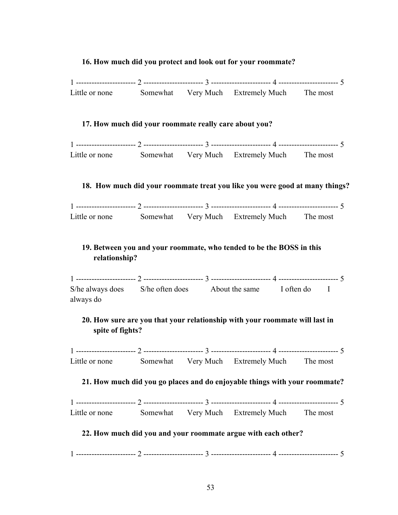#### **16. How much did you protect and look out for your roommate?**

| Little or none |  | Somewhat Very Much Extremely Much The most |  |
|----------------|--|--------------------------------------------|--|

#### **17. How much did your roommate really care about you?**

| Little or none | Somewhat | Very Much Extremely Much | The most |
|----------------|----------|--------------------------|----------|

#### **18. How much did your roommate treat you like you were good at many things?**

|                |          | -----     |                       | ---- |
|----------------|----------|-----------|-----------------------|------|
| Little or none | Somewhat | Verv Much | <b>Extremely Much</b> | ne i |

## **19. Between you and your roommate, who tended to be the BOSS in this relationship?**

1 ----------------------- 2 ----------------------- 3 ----------------------- 4 ----------------------- 5 S/he always does S/he often does About the same I often do I always do

## **20. How sure are you that your relationship with your roommate will last in spite of fights?**

1 ----------------------- 2 ----------------------- 3 ----------------------- 4 ----------------------- 5 Little or none Somewhat Very Much Extremely Much The most

#### **21. How much did you go places and do enjoyable things with your roommate?**

| Little or none |  | Somewhat Very Much Extremely Much The most |  |
|----------------|--|--------------------------------------------|--|

## **22. How much did you and your roommate argue with each other?**

1 ----------------------- 2 ----------------------- 3 ----------------------- 4 ----------------------- 5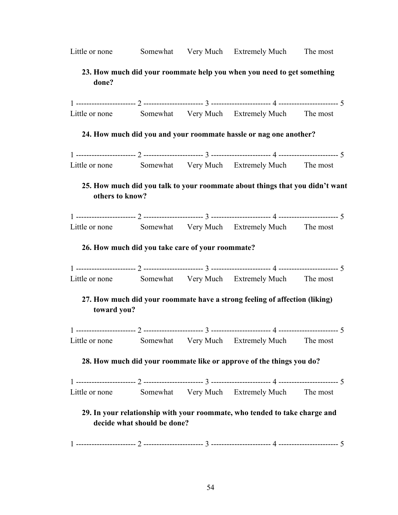| others to know? |                             |                                                                                                                                                                                                                                                                                                                                                                                                                                                                                                                                                                                                                                                                                                                                                                                                                                                                           |
|-----------------|-----------------------------|---------------------------------------------------------------------------------------------------------------------------------------------------------------------------------------------------------------------------------------------------------------------------------------------------------------------------------------------------------------------------------------------------------------------------------------------------------------------------------------------------------------------------------------------------------------------------------------------------------------------------------------------------------------------------------------------------------------------------------------------------------------------------------------------------------------------------------------------------------------------------|
|                 |                             |                                                                                                                                                                                                                                                                                                                                                                                                                                                                                                                                                                                                                                                                                                                                                                                                                                                                           |
|                 |                             |                                                                                                                                                                                                                                                                                                                                                                                                                                                                                                                                                                                                                                                                                                                                                                                                                                                                           |
|                 |                             |                                                                                                                                                                                                                                                                                                                                                                                                                                                                                                                                                                                                                                                                                                                                                                                                                                                                           |
|                 |                             |                                                                                                                                                                                                                                                                                                                                                                                                                                                                                                                                                                                                                                                                                                                                                                                                                                                                           |
|                 |                             |                                                                                                                                                                                                                                                                                                                                                                                                                                                                                                                                                                                                                                                                                                                                                                                                                                                                           |
| toward you?     |                             |                                                                                                                                                                                                                                                                                                                                                                                                                                                                                                                                                                                                                                                                                                                                                                                                                                                                           |
|                 |                             |                                                                                                                                                                                                                                                                                                                                                                                                                                                                                                                                                                                                                                                                                                                                                                                                                                                                           |
|                 |                             |                                                                                                                                                                                                                                                                                                                                                                                                                                                                                                                                                                                                                                                                                                                                                                                                                                                                           |
|                 |                             |                                                                                                                                                                                                                                                                                                                                                                                                                                                                                                                                                                                                                                                                                                                                                                                                                                                                           |
|                 |                             |                                                                                                                                                                                                                                                                                                                                                                                                                                                                                                                                                                                                                                                                                                                                                                                                                                                                           |
|                 |                             | The most                                                                                                                                                                                                                                                                                                                                                                                                                                                                                                                                                                                                                                                                                                                                                                                                                                                                  |
|                 |                             |                                                                                                                                                                                                                                                                                                                                                                                                                                                                                                                                                                                                                                                                                                                                                                                                                                                                           |
|                 |                             |                                                                                                                                                                                                                                                                                                                                                                                                                                                                                                                                                                                                                                                                                                                                                                                                                                                                           |
|                 | decide what should be done? | 23. How much did your roommate help you when you need to get something<br>Little or none Somewhat Very Much Extremely Much The most<br>24. How much did you and your roommate hassle or nag one another?<br>Little or none Somewhat Very Much Extremely Much The most<br>25. How much did you talk to your roommate about things that you didn't want<br>Little or none Somewhat Very Much Extremely Much The most<br>26. How much did you take care of your roommate?<br>Little or none Somewhat Very Much Extremely Much The most<br>27. How much did your roommate have a strong feeling of affection (liking)<br>Little or none Somewhat Very Much Extremely Much The most<br>28. How much did your roommate like or approve of the things you do?<br>Somewhat Very Much Extremely Much<br>29. In your relationship with your roommate, who tended to take charge and |

Little or none Somewhat Very Much Extremely Much The most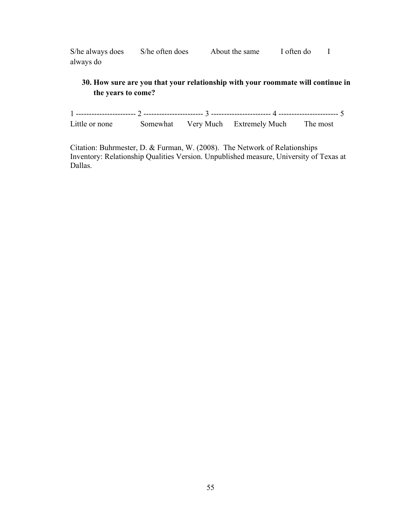S/he always does S/he often does About the same I often do I always do

## **30. How sure are you that your relationship with your roommate will continue in the years to come?**

1 ----------------------- 2 ----------------------- 3 ----------------------- 4 ----------------------- 5 Little or none Somewhat Very Much Extremely Much The most

Citation: Buhrmester, D. & Furman, W. (2008). The Network of Relationships Inventory: Relationship Qualities Version. Unpublished measure, University of Texas at Dallas.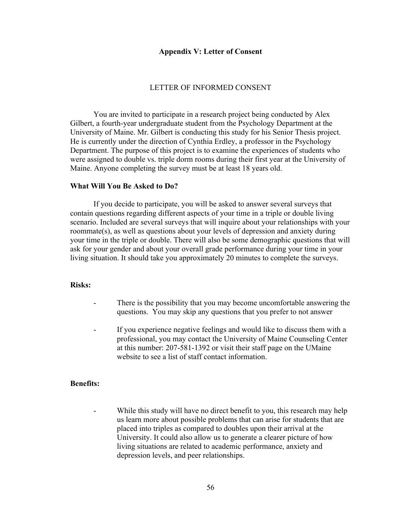#### **Appendix V: Letter of Consent**

#### LETTER OF INFORMED CONSENT

You are invited to participate in a research project being conducted by Alex Gilbert, a fourth-year undergraduate student from the Psychology Department at the University of Maine. Mr. Gilbert is conducting this study for his Senior Thesis project. He is currently under the direction of Cynthia Erdley, a professor in the Psychology Department. The purpose of this project is to examine the experiences of students who were assigned to double vs. triple dorm rooms during their first year at the University of Maine. Anyone completing the survey must be at least 18 years old.

#### **What Will You Be Asked to Do?**

If you decide to participate, you will be asked to answer several surveys that contain questions regarding different aspects of your time in a triple or double living scenario. Included are several surveys that will inquire about your relationships with your roommate(s), as well as questions about your levels of depression and anxiety during your time in the triple or double. There will also be some demographic questions that will ask for your gender and about your overall grade performance during your time in your living situation. It should take you approximately 20 minutes to complete the surveys.

#### **Risks:**

- There is the possibility that you may become uncomfortable answering the questions. You may skip any questions that you prefer to not answer
- If you experience negative feelings and would like to discuss them with a professional, you may contact the University of Maine Counseling Center at this number: 207-581-1392 or visit their staff page on the UMaine website to see a list of staff contact information.

#### **Benefits:**

While this study will have no direct benefit to you, this research may help us learn more about possible problems that can arise for students that are placed into triples as compared to doubles upon their arrival at the University. It could also allow us to generate a clearer picture of how living situations are related to academic performance, anxiety and depression levels, and peer relationships.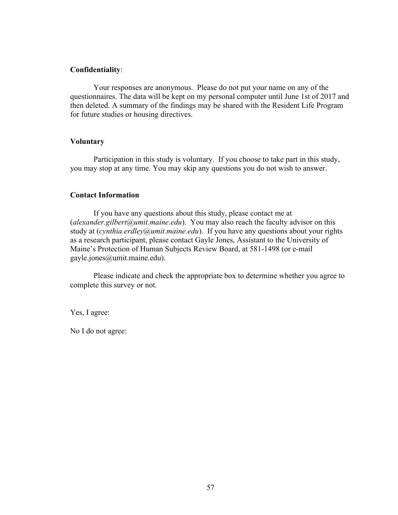#### **Confidentiality**:

Your responses are anonymous. Please do not put your name on any of the questionnaires. The data will be kept on my personal computer until June 1st of 2017 and then deleted. A summary of the findings may be shared with the Resident Life Program for future studies or housing directives.

#### **Voluntary**

Participation in this study is voluntary. If you choose to take part in this study, you may stop at any time. You may skip any questions you do not wish to answer.

#### **Contact Information**

If you have any questions about this study, please contact me at (*alexander.gilbert@umit.maine.edu*). You may also reach the faculty advisor on this study at (*cynthia.erdley@umit.maine.edu*). If you have any questions about your rights as a research participant, please contact Gayle Jones, Assistant to the University of Maine's Protection of Human Subjects Review Board, at 581-1498 (or e-mail gayle.jones@umit.maine.edu).

Please indicate and check the appropriate box to determine whether you agree to complete this survey or not.

Yes, I agree:

No I do not agree: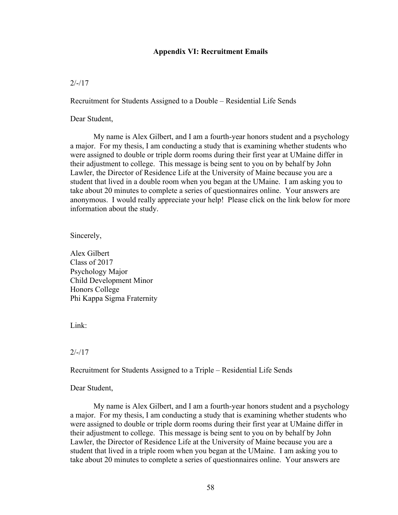#### **Appendix VI: Recruitment Emails**

#### $2/-/17$

Recruitment for Students Assigned to a Double – Residential Life Sends

Dear Student,

My name is Alex Gilbert, and I am a fourth-year honors student and a psychology a major. For my thesis, I am conducting a study that is examining whether students who were assigned to double or triple dorm rooms during their first year at UMaine differ in their adjustment to college. This message is being sent to you on by behalf by John Lawler, the Director of Residence Life at the University of Maine because you are a student that lived in a double room when you began at the UMaine. I am asking you to take about 20 minutes to complete a series of questionnaires online. Your answers are anonymous. I would really appreciate your help! Please click on the link below for more information about the study.

Sincerely,

Alex Gilbert Class of 2017 Psychology Major Child Development Minor Honors College Phi Kappa Sigma Fraternity

Link:

 $2/-/17$ 

Recruitment for Students Assigned to a Triple – Residential Life Sends

Dear Student,

My name is Alex Gilbert, and I am a fourth-year honors student and a psychology a major. For my thesis, I am conducting a study that is examining whether students who were assigned to double or triple dorm rooms during their first year at UMaine differ in their adjustment to college. This message is being sent to you on by behalf by John Lawler, the Director of Residence Life at the University of Maine because you are a student that lived in a triple room when you began at the UMaine. I am asking you to take about 20 minutes to complete a series of questionnaires online. Your answers are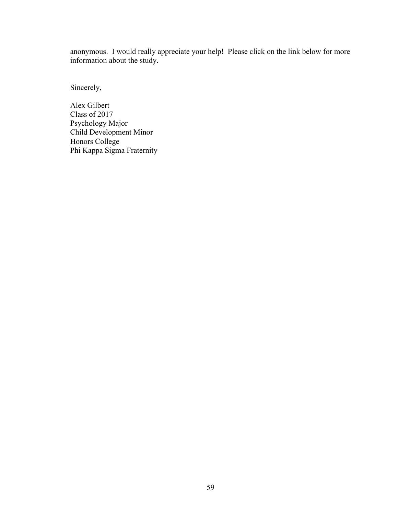anonymous. I would really appreciate your help! Please click on the link below for more information about the study.

Sincerely,

Alex Gilbert Class of 2017 Psychology Major Child Development Minor Honors College Phi Kappa Sigma Fraternity